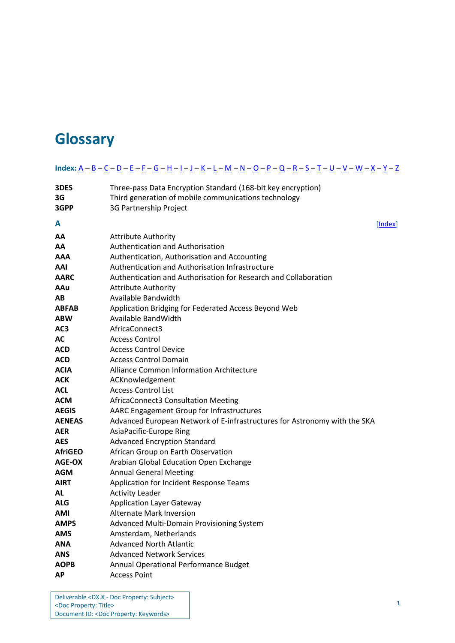## <span id="page-0-1"></span> $Index: \underline{A} - \underline{B} - \underline{C} - \underline{D} - \underline{E} - \underline{F} - \underline{G} - \underline{H} - \underline{I} - \underline{J} - \underline{K} - \underline{L} - \underline{M} - \underline{N} - \underline{O} - \underline{P} - \underline{Q} - \underline{R} - \underline{S} - \underline{T} - \underline{U} - \underline{V} - \underline{W} - \underline{X} - \underline{Y} - \underline{Z}$  $Index: \underline{A} - \underline{B} - \underline{C} - \underline{D} - \underline{E} - \underline{F} - \underline{G} - \underline{H} - \underline{I} - \underline{J} - \underline{K} - \underline{L} - \underline{M} - \underline{N} - \underline{O} - \underline{P} - \underline{Q} - \underline{R} - \underline{S} - \underline{T} - \underline{U} - \underline{V} - \underline{W} - \underline{X} - \underline{Y} - \underline{Z}$  $Index: \underline{A} - \underline{B} - \underline{C} - \underline{D} - \underline{E} - \underline{F} - \underline{G} - \underline{H} - \underline{I} - \underline{J} - \underline{K} - \underline{L} - \underline{M} - \underline{N} - \underline{O} - \underline{P} - \underline{Q} - \underline{R} - \underline{S} - \underline{T} - \underline{U} - \underline{V} - \underline{W} - \underline{X} - \underline{Y} - \underline{Z}$  $Index: \underline{A} - \underline{B} - \underline{C} - \underline{D} - \underline{E} - \underline{F} - \underline{G} - \underline{H} - \underline{I} - \underline{J} - \underline{K} - \underline{L} - \underline{M} - \underline{N} - \underline{O} - \underline{P} - \underline{Q} - \underline{R} - \underline{S} - \underline{T} - \underline{U} - \underline{V} - \underline{W} - \underline{X} - \underline{Y} - \underline{Z}$  $Index: \underline{A} - \underline{B} - \underline{C} - \underline{D} - \underline{E} - \underline{F} - \underline{G} - \underline{H} - \underline{I} - \underline{J} - \underline{K} - \underline{L} - \underline{M} - \underline{N} - \underline{O} - \underline{P} - \underline{Q} - \underline{R} - \underline{S} - \underline{T} - \underline{U} - \underline{V} - \underline{W} - \underline{X} - \underline{Y} - \underline{Z}$  $Index: \underline{A} - \underline{B} - \underline{C} - \underline{D} - \underline{E} - \underline{F} - \underline{G} - \underline{H} - \underline{I} - \underline{J} - \underline{K} - \underline{L} - \underline{M} - \underline{N} - \underline{O} - \underline{P} - \underline{Q} - \underline{R} - \underline{S} - \underline{T} - \underline{U} - \underline{V} - \underline{W} - \underline{X} - \underline{Y} - \underline{Z}$  $Index: \underline{A} - \underline{B} - \underline{C} - \underline{D} - \underline{E} - \underline{F} - \underline{G} - \underline{H} - \underline{I} - \underline{J} - \underline{K} - \underline{L} - \underline{M} - \underline{N} - \underline{O} - \underline{P} - \underline{Q} - \underline{R} - \underline{S} - \underline{T} - \underline{U} - \underline{V} - \underline{W} - \underline{X} - \underline{Y} - \underline{Z}$  $Index: \underline{A} - \underline{B} - \underline{C} - \underline{D} - \underline{E} - \underline{F} - \underline{G} - \underline{H} - \underline{I} - \underline{J} - \underline{K} - \underline{L} - \underline{M} - \underline{N} - \underline{O} - \underline{P} - \underline{Q} - \underline{R} - \underline{S} - \underline{T} - \underline{U} - \underline{V} - \underline{W} - \underline{X} - \underline{Y} - \underline{Z}$  $Index: \underline{A} - \underline{B} - \underline{C} - \underline{D} - \underline{E} - \underline{F} - \underline{G} - \underline{H} - \underline{I} - \underline{J} - \underline{K} - \underline{L} - \underline{M} - \underline{N} - \underline{O} - \underline{P} - \underline{Q} - \underline{R} - \underline{S} - \underline{T} - \underline{U} - \underline{V} - \underline{W} - \underline{X} - \underline{Y} - \underline{Z}$  $Index: \underline{A} - \underline{B} - \underline{C} - \underline{D} - \underline{E} - \underline{F} - \underline{G} - \underline{H} - \underline{I} - \underline{J} - \underline{K} - \underline{L} - \underline{M} - \underline{N} - \underline{O} - \underline{P} - \underline{Q} - \underline{R} - \underline{S} - \underline{T} - \underline{U} - \underline{V} - \underline{W} - \underline{X} - \underline{Y} - \underline{Z}$  $Index: \underline{A} - \underline{B} - \underline{C} - \underline{D} - \underline{E} - \underline{F} - \underline{G} - \underline{H} - \underline{I} - \underline{J} - \underline{K} - \underline{L} - \underline{M} - \underline{N} - \underline{O} - \underline{P} - \underline{Q} - \underline{R} - \underline{S} - \underline{T} - \underline{U} - \underline{V} - \underline{W} - \underline{X} - \underline{Y} - \underline{Z}$  $Index: \underline{A} - \underline{B} - \underline{C} - \underline{D} - \underline{E} - \underline{F} - \underline{G} - \underline{H} - \underline{I} - \underline{J} - \underline{K} - \underline{L} - \underline{M} - \underline{N} - \underline{O} - \underline{P} - \underline{Q} - \underline{R} - \underline{S} - \underline{T} - \underline{U} - \underline{V} - \underline{W} - \underline{X} - \underline{Y} - \underline{Z}$  $Index: \underline{A} - \underline{B} - \underline{C} - \underline{D} - \underline{E} - \underline{F} - \underline{G} - \underline{H} - \underline{I} - \underline{J} - \underline{K} - \underline{L} - \underline{M} - \underline{N} - \underline{O} - \underline{P} - \underline{Q} - \underline{R} - \underline{S} - \underline{T} - \underline{U} - \underline{V} - \underline{W} - \underline{X} - \underline{Y} - \underline{Z}$  $Index: \underline{A} - \underline{B} - \underline{C} - \underline{D} - \underline{E} - \underline{F} - \underline{G} - \underline{H} - \underline{I} - \underline{J} - \underline{K} - \underline{L} - \underline{M} - \underline{N} - \underline{O} - \underline{P} - \underline{Q} - \underline{R} - \underline{S} - \underline{T} - \underline{U} - \underline{V} - \underline{W} - \underline{X} - \underline{Y} - \underline{Z}$  $Index: \underline{A} - \underline{B} - \underline{C} - \underline{D} - \underline{E} - \underline{F} - \underline{G} - \underline{H} - \underline{I} - \underline{J} - \underline{K} - \underline{L} - \underline{M} - \underline{N} - \underline{O} - \underline{P} - \underline{Q} - \underline{R} - \underline{S} - \underline{T} - \underline{U} - \underline{V} - \underline{W} - \underline{X} - \underline{Y} - \underline{Z}$  $Index: \underline{A} - \underline{B} - \underline{C} - \underline{D} - \underline{E} - \underline{F} - \underline{G} - \underline{H} - \underline{I} - \underline{J} - \underline{K} - \underline{L} - \underline{M} - \underline{N} - \underline{O} - \underline{P} - \underline{Q} - \underline{R} - \underline{S} - \underline{T} - \underline{U} - \underline{V} - \underline{W} - \underline{X} - \underline{Y} - \underline{Z}$  $Index: \underline{A} - \underline{B} - \underline{C} - \underline{D} - \underline{E} - \underline{F} - \underline{G} - \underline{H} - \underline{I} - \underline{J} - \underline{K} - \underline{L} - \underline{M} - \underline{N} - \underline{O} - \underline{P} - \underline{Q} - \underline{R} - \underline{S} - \underline{T} - \underline{U} - \underline{V} - \underline{W} - \underline{X} - \underline{Y} - \underline{Z}$  $Index: \underline{A} - \underline{B} - \underline{C} - \underline{D} - \underline{E} - \underline{F} - \underline{G} - \underline{H} - \underline{I} - \underline{J} - \underline{K} - \underline{L} - \underline{M} - \underline{N} - \underline{O} - \underline{P} - \underline{Q} - \underline{R} - \underline{S} - \underline{T} - \underline{U} - \underline{V} - \underline{W} - \underline{X} - \underline{Y} - \underline{Z}$  $Index: \underline{A} - \underline{B} - \underline{C} - \underline{D} - \underline{E} - \underline{F} - \underline{G} - \underline{H} - \underline{I} - \underline{J} - \underline{K} - \underline{L} - \underline{M} - \underline{N} - \underline{O} - \underline{P} - \underline{Q} - \underline{R} - \underline{S} - \underline{T} - \underline{U} - \underline{V} - \underline{W} - \underline{X} - \underline{Y} - \underline{Z}$  $Index: \underline{A} - \underline{B} - \underline{C} - \underline{D} - \underline{E} - \underline{F} - \underline{G} - \underline{H} - \underline{I} - \underline{J} - \underline{K} - \underline{L} - \underline{M} - \underline{N} - \underline{O} - \underline{P} - \underline{Q} - \underline{R} - \underline{S} - \underline{T} - \underline{U} - \underline{V} - \underline{W} - \underline{X} - \underline{Y} - \underline{Z}$  $Index: \underline{A} - \underline{B} - \underline{C} - \underline{D} - \underline{E} - \underline{F} - \underline{G} - \underline{H} - \underline{I} - \underline{J} - \underline{K} - \underline{L} - \underline{M} - \underline{N} - \underline{O} - \underline{P} - \underline{Q} - \underline{R} - \underline{S} - \underline{T} - \underline{U} - \underline{V} - \underline{W} - \underline{X} - \underline{Y} - \underline{Z}$  $Index: \underline{A} - \underline{B} - \underline{C} - \underline{D} - \underline{E} - \underline{F} - \underline{G} - \underline{H} - \underline{I} - \underline{J} - \underline{K} - \underline{L} - \underline{M} - \underline{N} - \underline{O} - \underline{P} - \underline{Q} - \underline{R} - \underline{S} - \underline{T} - \underline{U} - \underline{V} - \underline{W} - \underline{X} - \underline{Y} - \underline{Z}$  $Index: \underline{A} - \underline{B} - \underline{C} - \underline{D} - \underline{E} - \underline{F} - \underline{G} - \underline{H} - \underline{I} - \underline{J} - \underline{K} - \underline{L} - \underline{M} - \underline{N} - \underline{O} - \underline{P} - \underline{Q} - \underline{R} - \underline{S} - \underline{T} - \underline{U} - \underline{V} - \underline{W} - \underline{X} - \underline{Y} - \underline{Z}$  $Index: \underline{A} - \underline{B} - \underline{C} - \underline{D} - \underline{E} - \underline{F} - \underline{G} - \underline{H} - \underline{I} - \underline{J} - \underline{K} - \underline{L} - \underline{M} - \underline{N} - \underline{O} - \underline{P} - \underline{Q} - \underline{R} - \underline{S} - \underline{T} - \underline{U} - \underline{V} - \underline{W} - \underline{X} - \underline{Y} - \underline{Z}$  $Index: \underline{A} - \underline{B} - \underline{C} - \underline{D} - \underline{E} - \underline{F} - \underline{G} - \underline{H} - \underline{I} - \underline{J} - \underline{K} - \underline{L} - \underline{M} - \underline{N} - \underline{O} - \underline{P} - \underline{Q} - \underline{R} - \underline{S} - \underline{T} - \underline{U} - \underline{V} - \underline{W} - \underline{X} - \underline{Y} - \underline{Z}$  $Index: \underline{A} - \underline{B} - \underline{C} - \underline{D} - \underline{E} - \underline{F} - \underline{G} - \underline{H} - \underline{I} - \underline{J} - \underline{K} - \underline{L} - \underline{M} - \underline{N} - \underline{O} - \underline{P} - \underline{Q} - \underline{R} - \underline{S} - \underline{T} - \underline{U} - \underline{V} - \underline{W} - \underline{X} - \underline{Y} - \underline{Z}$  $Index: \underline{A} - \underline{B} - \underline{C} - \underline{D} - \underline{E} - \underline{F} - \underline{G} - \underline{H} - \underline{I} - \underline{J} - \underline{K} - \underline{L} - \underline{M} - \underline{N} - \underline{O} - \underline{P} - \underline{Q} - \underline{R} - \underline{S} - \underline{T} - \underline{U} - \underline{V} - \underline{W} - \underline{X} - \underline{Y} - \underline{Z}$  $Index: \underline{A} - \underline{B} - \underline{C} - \underline{D} - \underline{E} - \underline{F} - \underline{G} - \underline{H} - \underline{I} - \underline{J} - \underline{K} - \underline{L} - \underline{M} - \underline{N} - \underline{O} - \underline{P} - \underline{Q} - \underline{R} - \underline{S} - \underline{T} - \underline{U} - \underline{V} - \underline{W} - \underline{X} - \underline{Y} - \underline{Z}$  $Index: \underline{A} - \underline{B} - \underline{C} - \underline{D} - \underline{E} - \underline{F} - \underline{G} - \underline{H} - \underline{I} - \underline{J} - \underline{K} - \underline{L} - \underline{M} - \underline{N} - \underline{O} - \underline{P} - \underline{Q} - \underline{R} - \underline{S} - \underline{T} - \underline{U} - \underline{V} - \underline{W} - \underline{X} - \underline{Y} - \underline{Z}$  $Index: \underline{A} - \underline{B} - \underline{C} - \underline{D} - \underline{E} - \underline{F} - \underline{G} - \underline{H} - \underline{I} - \underline{J} - \underline{K} - \underline{L} - \underline{M} - \underline{N} - \underline{O} - \underline{P} - \underline{Q} - \underline{R} - \underline{S} - \underline{T} - \underline{U} - \underline{V} - \underline{W} - \underline{X} - \underline{Y} - \underline{Z}$  $Index: \underline{A} - \underline{B} - \underline{C} - \underline{D} - \underline{E} - \underline{F} - \underline{G} - \underline{H} - \underline{I} - \underline{J} - \underline{K} - \underline{L} - \underline{M} - \underline{N} - \underline{O} - \underline{P} - \underline{Q} - \underline{R} - \underline{S} - \underline{T} - \underline{U} - \underline{V} - \underline{W} - \underline{X} - \underline{Y} - \underline{Z}$  $Index: \underline{A} - \underline{B} - \underline{C} - \underline{D} - \underline{E} - \underline{F} - \underline{G} - \underline{H} - \underline{I} - \underline{J} - \underline{K} - \underline{L} - \underline{M} - \underline{N} - \underline{O} - \underline{P} - \underline{Q} - \underline{R} - \underline{S} - \underline{T} - \underline{U} - \underline{V} - \underline{W} - \underline{X} - \underline{Y} - \underline{Z}$  $Index: \underline{A} - \underline{B} - \underline{C} - \underline{D} - \underline{E} - \underline{F} - \underline{G} - \underline{H} - \underline{I} - \underline{J} - \underline{K} - \underline{L} - \underline{M} - \underline{N} - \underline{O} - \underline{P} - \underline{Q} - \underline{R} - \underline{S} - \underline{T} - \underline{U} - \underline{V} - \underline{W} - \underline{X} - \underline{Y} - \underline{Z}$  $Index: \underline{A} - \underline{B} - \underline{C} - \underline{D} - \underline{E} - \underline{F} - \underline{G} - \underline{H} - \underline{I} - \underline{J} - \underline{K} - \underline{L} - \underline{M} - \underline{N} - \underline{O} - \underline{P} - \underline{Q} - \underline{R} - \underline{S} - \underline{T} - \underline{U} - \underline{V} - \underline{W} - \underline{X} - \underline{Y} - \underline{Z}$  $Index: \underline{A} - \underline{B} - \underline{C} - \underline{D} - \underline{E} - \underline{F} - \underline{G} - \underline{H} - \underline{I} - \underline{J} - \underline{K} - \underline{L} - \underline{M} - \underline{N} - \underline{O} - \underline{P} - \underline{Q} - \underline{R} - \underline{S} - \underline{T} - \underline{U} - \underline{V} - \underline{W} - \underline{X} - \underline{Y} - \underline{Z}$  $Index: \underline{A} - \underline{B} - \underline{C} - \underline{D} - \underline{E} - \underline{F} - \underline{G} - \underline{H} - \underline{I} - \underline{J} - \underline{K} - \underline{L} - \underline{M} - \underline{N} - \underline{O} - \underline{P} - \underline{Q} - \underline{R} - \underline{S} - \underline{T} - \underline{U} - \underline{V} - \underline{W} - \underline{X} - \underline{Y} - \underline{Z}$  $Index: \underline{A} - \underline{B} - \underline{C} - \underline{D} - \underline{E} - \underline{F} - \underline{G} - \underline{H} - \underline{I} - \underline{J} - \underline{K} - \underline{L} - \underline{M} - \underline{N} - \underline{O} - \underline{P} - \underline{Q} - \underline{R} - \underline{S} - \underline{T} - \underline{U} - \underline{V} - \underline{W} - \underline{X} - \underline{Y} - \underline{Z}$  $Index: \underline{A} - \underline{B} - \underline{C} - \underline{D} - \underline{E} - \underline{F} - \underline{G} - \underline{H} - \underline{I} - \underline{J} - \underline{K} - \underline{L} - \underline{M} - \underline{N} - \underline{O} - \underline{P} - \underline{Q} - \underline{R} - \underline{S} - \underline{T} - \underline{U} - \underline{V} - \underline{W} - \underline{X} - \underline{Y} - \underline{Z}$  $Index: \underline{A} - \underline{B} - \underline{C} - \underline{D} - \underline{E} - \underline{F} - \underline{G} - \underline{H} - \underline{I} - \underline{J} - \underline{K} - \underline{L} - \underline{M} - \underline{N} - \underline{O} - \underline{P} - \underline{Q} - \underline{R} - \underline{S} - \underline{T} - \underline{U} - \underline{V} - \underline{W} - \underline{X} - \underline{Y} - \underline{Z}$  $Index: \underline{A} - \underline{B} - \underline{C} - \underline{D} - \underline{E} - \underline{F} - \underline{G} - \underline{H} - \underline{I} - \underline{J} - \underline{K} - \underline{L} - \underline{M} - \underline{N} - \underline{O} - \underline{P} - \underline{Q} - \underline{R} - \underline{S} - \underline{T} - \underline{U} - \underline{V} - \underline{W} - \underline{X} - \underline{Y} - \underline{Z}$  $Index: \underline{A} - \underline{B} - \underline{C} - \underline{D} - \underline{E} - \underline{F} - \underline{G} - \underline{H} - \underline{I} - \underline{J} - \underline{K} - \underline{L} - \underline{M} - \underline{N} - \underline{O} - \underline{P} - \underline{Q} - \underline{R} - \underline{S} - \underline{T} - \underline{U} - \underline{V} - \underline{W} - \underline{X} - \underline{Y} - \underline{Z}$  $Index: \underline{A} - \underline{B} - \underline{C} - \underline{D} - \underline{E} - \underline{F} - \underline{G} - \underline{H} - \underline{I} - \underline{J} - \underline{K} - \underline{L} - \underline{M} - \underline{N} - \underline{O} - \underline{P} - \underline{Q} - \underline{R} - \underline{S} - \underline{T} - \underline{U} - \underline{V} - \underline{W} - \underline{X} - \underline{Y} - \underline{Z}$  $Index: \underline{A} - \underline{B} - \underline{C} - \underline{D} - \underline{E} - \underline{F} - \underline{G} - \underline{H} - \underline{I} - \underline{J} - \underline{K} - \underline{L} - \underline{M} - \underline{N} - \underline{O} - \underline{P} - \underline{Q} - \underline{R} - \underline{S} - \underline{T} - \underline{U} - \underline{V} - \underline{W} - \underline{X} - \underline{Y} - \underline{Z}$  $Index: \underline{A} - \underline{B} - \underline{C} - \underline{D} - \underline{E} - \underline{F} - \underline{G} - \underline{H} - \underline{I} - \underline{J} - \underline{K} - \underline{L} - \underline{M} - \underline{N} - \underline{O} - \underline{P} - \underline{Q} - \underline{R} - \underline{S} - \underline{T} - \underline{U} - \underline{V} - \underline{W} - \underline{X} - \underline{Y} - \underline{Z}$  $Index: \underline{A} - \underline{B} - \underline{C} - \underline{D} - \underline{E} - \underline{F} - \underline{G} - \underline{H} - \underline{I} - \underline{J} - \underline{K} - \underline{L} - \underline{M} - \underline{N} - \underline{O} - \underline{P} - \underline{Q} - \underline{R} - \underline{S} - \underline{T} - \underline{U} - \underline{V} - \underline{W} - \underline{X} - \underline{Y} - \underline{Z}$  $Index: \underline{A} - \underline{B} - \underline{C} - \underline{D} - \underline{E} - \underline{F} - \underline{G} - \underline{H} - \underline{I} - \underline{J} - \underline{K} - \underline{L} - \underline{M} - \underline{N} - \underline{O} - \underline{P} - \underline{Q} - \underline{R} - \underline{S} - \underline{T} - \underline{U} - \underline{V} - \underline{W} - \underline{X} - \underline{Y} - \underline{Z}$  $Index: \underline{A} - \underline{B} - \underline{C} - \underline{D} - \underline{E} - \underline{F} - \underline{G} - \underline{H} - \underline{I} - \underline{J} - \underline{K} - \underline{L} - \underline{M} - \underline{N} - \underline{O} - \underline{P} - \underline{Q} - \underline{R} - \underline{S} - \underline{T} - \underline{U} - \underline{V} - \underline{W} - \underline{X} - \underline{Y} - \underline{Z}$  $Index: \underline{A} - \underline{B} - \underline{C} - \underline{D} - \underline{E} - \underline{F} - \underline{G} - \underline{H} - \underline{I} - \underline{J} - \underline{K} - \underline{L} - \underline{M} - \underline{N} - \underline{O} - \underline{P} - \underline{Q} - \underline{R} - \underline{S} - \underline{T} - \underline{U} - \underline{V} - \underline{W} - \underline{X} - \underline{Y} - \underline{Z}$  $Index: \underline{A} - \underline{B} - \underline{C} - \underline{D} - \underline{E} - \underline{F} - \underline{G} - \underline{H} - \underline{I} - \underline{J} - \underline{K} - \underline{L} - \underline{M} - \underline{N} - \underline{O} - \underline{P} - \underline{Q} - \underline{R} - \underline{S} - \underline{T} - \underline{U} - \underline{V} - \underline{W} - \underline{X} - \underline{Y} - \underline{Z}$  $Index: \underline{A} - \underline{B} - \underline{C} - \underline{D} - \underline{E} - \underline{F} - \underline{G} - \underline{H} - \underline{I} - \underline{J} - \underline{K} - \underline{L} - \underline{M} - \underline{N} - \underline{O} - \underline{P} - \underline{Q} - \underline{R} - \underline{S} - \underline{T} - \underline{U} - \underline{V} - \underline{W} - \underline{X} - \underline{Y} - \underline{Z}$  $Index: \underline{A} - \underline{B} - \underline{C} - \underline{D} - \underline{E} - \underline{F} - \underline{G} - \underline{H} - \underline{I} - \underline{J} - \underline{K} - \underline{L} - \underline{M} - \underline{N} - \underline{O} - \underline{P} - \underline{Q} - \underline{R} - \underline{S} - \underline{T} - \underline{U} - \underline{V} - \underline{W} - \underline{X} - \underline{Y} - \underline{Z}$  $Index: \underline{A} - \underline{B} - \underline{C} - \underline{D} - \underline{E} - \underline{F} - \underline{G} - \underline{H} - \underline{I} - \underline{J} - \underline{K} - \underline{L} - \underline{M} - \underline{N} - \underline{O} - \underline{P} - \underline{Q} - \underline{R} - \underline{S} - \underline{T} - \underline{U} - \underline{V} - \underline{W} - \underline{X} - \underline{Y} - \underline{Z}$  $Index: \underline{A} - \underline{B} - \underline{C} - \underline{D} - \underline{E} - \underline{F} - \underline{G} - \underline{H} - \underline{I} - \underline{J} - \underline{K} - \underline{L} - \underline{M} - \underline{N} - \underline{O} - \underline{P} - \underline{Q} - \underline{R} - \underline{S} - \underline{T} - \underline{U} - \underline{V} - \underline{W} - \underline{X} - \underline{Y} - \underline{Z}$

<span id="page-0-0"></span>

| 3DES           | Three-pass Data Encryption Standard (168-bit key encryption)              |         |
|----------------|---------------------------------------------------------------------------|---------|
| 3G             | Third generation of mobile communications technology                      |         |
| 3GPP           | 3G Partnership Project                                                    |         |
| A              |                                                                           | [Index] |
| AA             | <b>Attribute Authority</b>                                                |         |
| ΑА             | Authentication and Authorisation                                          |         |
| AAA            | Authentication, Authorisation and Accounting                              |         |
| AAI            | Authentication and Authorisation Infrastructure                           |         |
| <b>AARC</b>    | Authentication and Authorisation for Research and Collaboration           |         |
| AAu            | <b>Attribute Authority</b>                                                |         |
| AB             | Available Bandwidth                                                       |         |
| <b>ABFAB</b>   | Application Bridging for Federated Access Beyond Web                      |         |
| <b>ABW</b>     | Available BandWidth                                                       |         |
| AC3            | AfricaConnect3                                                            |         |
| AC             | <b>Access Control</b>                                                     |         |
| ACD.           | <b>Access Control Device</b>                                              |         |
| <b>ACD</b>     | <b>Access Control Domain</b>                                              |         |
| <b>ACIA</b>    | Alliance Common Information Architecture                                  |         |
| <b>ACK</b>     | ACKnowledgement                                                           |         |
| <b>ACL</b>     | <b>Access Control List</b>                                                |         |
| <b>ACM</b>     | AfricaConnect3 Consultation Meeting                                       |         |
| <b>AEGIS</b>   | AARC Engagement Group for Infrastructures                                 |         |
| <b>AENEAS</b>  | Advanced European Network of E-infrastructures for Astronomy with the SKA |         |
| <b>AER</b>     | AsiaPacific-Europe Ring                                                   |         |
| <b>AES</b>     | <b>Advanced Encryption Standard</b>                                       |         |
| <b>AfriGEO</b> | African Group on Earth Observation                                        |         |
| <b>AGE-OX</b>  | Arabian Global Education Open Exchange                                    |         |
| <b>AGM</b>     | <b>Annual General Meeting</b>                                             |         |
| <b>AIRT</b>    | Application for Incident Response Teams                                   |         |
| AL             | <b>Activity Leader</b>                                                    |         |
| <b>ALG</b>     | <b>Application Layer Gateway</b>                                          |         |
| AMI            | <b>Alternate Mark Inversion</b>                                           |         |
| <b>AMPS</b>    | Advanced Multi-Domain Provisioning System                                 |         |
| <b>AMS</b>     | Amsterdam, Netherlands                                                    |         |
| ANA            | <b>Advanced North Atlantic</b>                                            |         |
| <b>ANS</b>     | <b>Advanced Network Services</b>                                          |         |
| <b>AOPB</b>    | Annual Operational Performance Budget                                     |         |
| АP             | <b>Access Point</b>                                                       |         |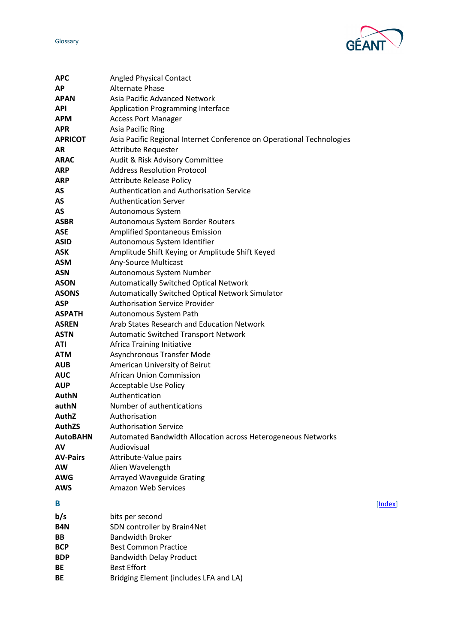

<span id="page-1-0"></span>

| <b>APC</b>                | <b>Angled Physical Contact</b>                                        |         |
|---------------------------|-----------------------------------------------------------------------|---------|
| <b>AP</b>                 | <b>Alternate Phase</b>                                                |         |
| <b>APAN</b>               | Asia Pacific Advanced Network                                         |         |
| <b>API</b>                | Application Programming Interface                                     |         |
| <b>APM</b>                | <b>Access Port Manager</b>                                            |         |
| <b>APR</b>                | Asia Pacific Ring                                                     |         |
| <b>APRICOT</b>            | Asia Pacific Regional Internet Conference on Operational Technologies |         |
| AR                        | <b>Attribute Requester</b>                                            |         |
| <b>ARAC</b>               | Audit & Risk Advisory Committee                                       |         |
| <b>ARP</b>                | <b>Address Resolution Protocol</b>                                    |         |
| <b>ARP</b>                | <b>Attribute Release Policy</b>                                       |         |
| AS                        | Authentication and Authorisation Service                              |         |
| AS                        | <b>Authentication Server</b>                                          |         |
| AS                        | Autonomous System                                                     |         |
| <b>ASBR</b>               | Autonomous System Border Routers                                      |         |
| <b>ASE</b>                | <b>Amplified Spontaneous Emission</b>                                 |         |
| <b>ASID</b>               | Autonomous System Identifier                                          |         |
| <b>ASK</b>                | Amplitude Shift Keying or Amplitude Shift Keyed                       |         |
| <b>ASM</b>                | Any-Source Multicast                                                  |         |
| <b>ASN</b>                | Autonomous System Number                                              |         |
| <b>ASON</b>               | <b>Automatically Switched Optical Network</b>                         |         |
| <b>ASONS</b>              | Automatically Switched Optical Network Simulator                      |         |
| <b>ASP</b>                | <b>Authorisation Service Provider</b>                                 |         |
| <b>ASPATH</b>             | Autonomous System Path                                                |         |
| <b>ASREN</b>              | Arab States Research and Education Network                            |         |
| <b>ASTN</b><br><b>ATI</b> | <b>Automatic Switched Transport Network</b>                           |         |
| <b>ATM</b>                | Africa Training Initiative<br>Asynchronous Transfer Mode              |         |
| <b>AUB</b>                | American University of Beirut                                         |         |
| <b>AUC</b>                | <b>African Union Commission</b>                                       |         |
| <b>AUP</b>                | Acceptable Use Policy                                                 |         |
| <b>AuthN</b>              | Authentication                                                        |         |
| authN                     | Number of authentications                                             |         |
| <b>AuthZ</b>              | Authorisation                                                         |         |
| <b>AuthZS</b>             | <b>Authorisation Service</b>                                          |         |
| <b>AutoBAHN</b>           | Automated Bandwidth Allocation across Heterogeneous Networks          |         |
| AV                        | Audiovisual                                                           |         |
| <b>AV-Pairs</b>           | Attribute-Value pairs                                                 |         |
| <b>AW</b>                 | Alien Wavelength                                                      |         |
| <b>AWG</b>                | <b>Arrayed Waveguide Grating</b>                                      |         |
| <b>AWS</b>                | <b>Amazon Web Services</b>                                            |         |
| B                         |                                                                       |         |
|                           |                                                                       | [Index] |
| b/s                       | bits per second                                                       |         |
| B4N                       | SDN controller by Brain4Net                                           |         |
| BB                        | <b>Bandwidth Broker</b>                                               |         |
| <b>BCP</b>                | <b>Best Common Practice</b>                                           |         |
| <b>BDP</b>                | <b>Bandwidth Delay Product</b><br><b>Best Effort</b>                  |         |
| BE                        |                                                                       |         |
| BE                        | Bridging Element (includes LFA and LA)                                |         |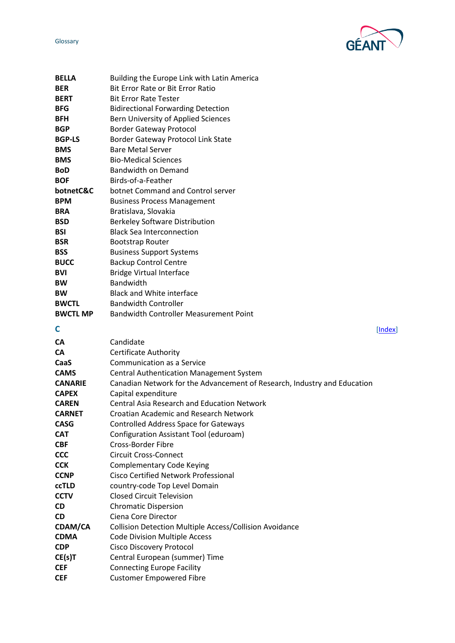GE

<span id="page-2-0"></span>

| BELLA           | Building the Europe Link with Latin America                              |         |
|-----------------|--------------------------------------------------------------------------|---------|
| <b>BER</b>      | Bit Error Rate or Bit Error Ratio                                        |         |
| <b>BERT</b>     | <b>Bit Error Rate Tester</b>                                             |         |
| <b>BFG</b>      | <b>Bidirectional Forwarding Detection</b>                                |         |
| BFH             | Bern University of Applied Sciences                                      |         |
| <b>BGP</b>      | <b>Border Gateway Protocol</b>                                           |         |
| <b>BGP-LS</b>   | Border Gateway Protocol Link State                                       |         |
| BMS             | <b>Bare Metal Server</b>                                                 |         |
| BMS             | <b>Bio-Medical Sciences</b>                                              |         |
| BoD             | <b>Bandwidth on Demand</b>                                               |         |
| <b>BOF</b>      | Birds-of-a-Feather                                                       |         |
| botnetC&C       | botnet Command and Control server                                        |         |
| <b>BPM</b>      | <b>Business Process Management</b>                                       |         |
| <b>BRA</b>      | Bratislava, Slovakia                                                     |         |
| <b>BSD</b>      | <b>Berkeley Software Distribution</b>                                    |         |
| BSI             | <b>Black Sea Interconnection</b>                                         |         |
| <b>BSR</b>      | <b>Bootstrap Router</b>                                                  |         |
| BSS             | <b>Business Support Systems</b>                                          |         |
| <b>BUCC</b>     | <b>Backup Control Centre</b>                                             |         |
| BVI             | <b>Bridge Virtual Interface</b>                                          |         |
| BW              | <b>Bandwidth</b>                                                         |         |
| BW              | <b>Black and White interface</b>                                         |         |
| <b>BWCTL</b>    | <b>Bandwidth Controller</b>                                              |         |
| <b>BWCTL MP</b> | <b>Bandwidth Controller Measurement Point</b>                            |         |
|                 |                                                                          |         |
| C               |                                                                          | [Index] |
| СA              | Candidate                                                                |         |
| СA              | <b>Certificate Authority</b>                                             |         |
| CaaS            | Communication as a Service                                               |         |
| <b>CAMS</b>     | Central Authentication Management System                                 |         |
| <b>CANARIE</b>  | Canadian Network for the Advancement of Research, Industry and Education |         |
| <b>CAPEX</b>    | Capital expenditure                                                      |         |
| <b>CAREN</b>    | <b>Central Asia Research and Education Network</b>                       |         |
| <b>CARNET</b>   | Croatian Academic and Research Network                                   |         |
| <b>CASG</b>     | <b>Controlled Address Space for Gateways</b>                             |         |
| <b>CAT</b>      | Configuration Assistant Tool (eduroam)                                   |         |
| <b>CBF</b>      | <b>Cross-Border Fibre</b>                                                |         |
| <b>CCC</b>      | <b>Circuit Cross-Connect</b>                                             |         |
| <b>CCK</b>      | <b>Complementary Code Keying</b>                                         |         |
| <b>CCNP</b>     | <b>Cisco Certified Network Professional</b>                              |         |
| ccTLD           | country-code Top Level Domain                                            |         |
| <b>CCTV</b>     | <b>Closed Circuit Television</b>                                         |         |
| CD              | <b>Chromatic Dispersion</b>                                              |         |
| CD              | Ciena Core Director                                                      |         |
| CDAM/CA         | Collision Detection Multiple Access/Collision Avoidance                  |         |
| <b>CDMA</b>     | <b>Code Division Multiple Access</b>                                     |         |
| <b>CDP</b>      | <b>Cisco Discovery Protocol</b>                                          |         |
| CE(s)T          | Central European (summer) Time                                           |         |
|                 |                                                                          |         |

**CEF** Customer Empowered Fibre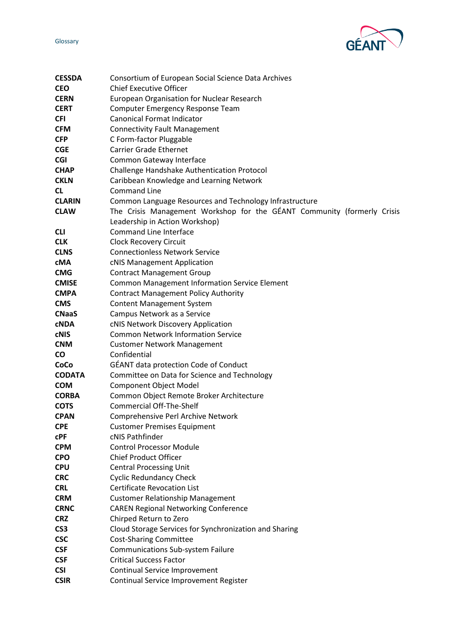

| <b>CESSDA</b>   | Consortium of European Social Science Data Archives                     |
|-----------------|-------------------------------------------------------------------------|
| <b>CEO</b>      | <b>Chief Executive Officer</b>                                          |
| <b>CERN</b>     | <b>European Organisation for Nuclear Research</b>                       |
| <b>CERT</b>     | <b>Computer Emergency Response Team</b>                                 |
| <b>CFI</b>      | <b>Canonical Format Indicator</b>                                       |
| <b>CFM</b>      | <b>Connectivity Fault Management</b>                                    |
| <b>CFP</b>      | C Form-factor Pluggable                                                 |
| <b>CGE</b>      | <b>Carrier Grade Ethernet</b>                                           |
| <b>CGI</b>      | Common Gateway Interface                                                |
| <b>CHAP</b>     | Challenge Handshake Authentication Protocol                             |
| <b>CKLN</b>     | Caribbean Knowledge and Learning Network                                |
| <b>CL</b>       | <b>Command Line</b>                                                     |
| <b>CLARIN</b>   | Common Language Resources and Technology Infrastructure                 |
| <b>CLAW</b>     | The Crisis Management Workshop for the GÉANT Community (formerly Crisis |
|                 | Leadership in Action Workshop)                                          |
| <b>CLI</b>      | <b>Command Line Interface</b>                                           |
| <b>CLK</b>      | <b>Clock Recovery Circuit</b>                                           |
| <b>CLNS</b>     | <b>Connectionless Network Service</b>                                   |
| cMA             | cNIS Management Application                                             |
| <b>CMG</b>      | <b>Contract Management Group</b>                                        |
| <b>CMISE</b>    | <b>Common Management Information Service Element</b>                    |
| <b>CMPA</b>     | <b>Contract Management Policy Authority</b>                             |
| <b>CMS</b>      | <b>Content Management System</b>                                        |
| <b>CNaaS</b>    | Campus Network as a Service                                             |
| <b>CNDA</b>     | cNIS Network Discovery Application                                      |
| <b>CNIS</b>     | <b>Common Network Information Service</b>                               |
| <b>CNM</b>      | <b>Customer Network Management</b>                                      |
| <b>CO</b>       | Confidential                                                            |
| CoCo            | <b>GÉANT data protection Code of Conduct</b>                            |
| <b>CODATA</b>   | Committee on Data for Science and Technology                            |
| <b>COM</b>      | Component Object Model                                                  |
| <b>CORBA</b>    | Common Object Remote Broker Architecture                                |
| <b>COTS</b>     | <b>Commercial Off-The-Shelf</b>                                         |
| <b>CPAN</b>     | Comprehensive Perl Archive Network                                      |
| <b>CPE</b>      | <b>Customer Premises Equipment</b>                                      |
| <b>CPF</b>      | cNIS Pathfinder                                                         |
| <b>CPM</b>      | <b>Control Processor Module</b>                                         |
| <b>CPO</b>      | <b>Chief Product Officer</b>                                            |
| <b>CPU</b>      | <b>Central Processing Unit</b>                                          |
| <b>CRC</b>      | <b>Cyclic Redundancy Check</b>                                          |
| <b>CRL</b>      | <b>Certificate Revocation List</b>                                      |
| <b>CRM</b>      | <b>Customer Relationship Management</b>                                 |
| <b>CRNC</b>     | <b>CAREN Regional Networking Conference</b>                             |
| <b>CRZ</b>      | Chirped Return to Zero                                                  |
| CS <sub>3</sub> | Cloud Storage Services for Synchronization and Sharing                  |
| <b>CSC</b>      | <b>Cost-Sharing Committee</b>                                           |
| <b>CSF</b>      | Communications Sub-system Failure                                       |
| <b>CSF</b>      | <b>Critical Success Factor</b>                                          |
| <b>CSI</b>      | Continual Service Improvement                                           |
| <b>CSIR</b>     | Continual Service Improvement Register                                  |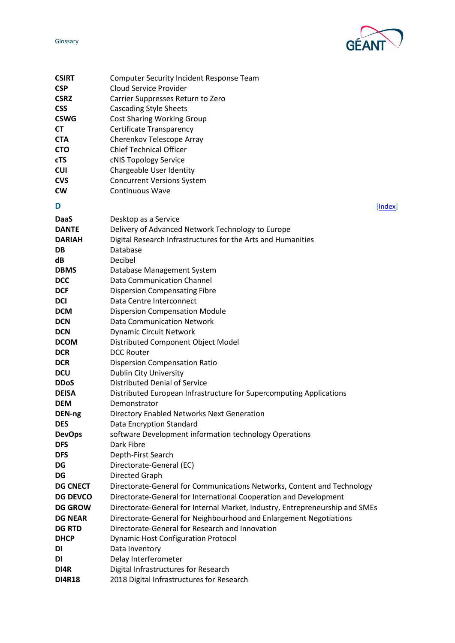



<span id="page-4-0"></span>

| <b>CSIRT</b>    | <b>Computer Security Incident Response Team</b>                              |
|-----------------|------------------------------------------------------------------------------|
| <b>CSP</b>      | <b>Cloud Service Provider</b>                                                |
| <b>CSRZ</b>     | Carrier Suppresses Return to Zero                                            |
| <b>CSS</b>      | <b>Cascading Style Sheets</b>                                                |
| <b>CSWG</b>     | <b>Cost Sharing Working Group</b>                                            |
| <b>CT</b>       | Certificate Transparency                                                     |
| <b>CTA</b>      | Cherenkov Telescope Array                                                    |
| <b>CTO</b>      | <b>Chief Technical Officer</b>                                               |
| <b>cTS</b>      | cNIS Topology Service                                                        |
| <b>CUI</b>      | Chargeable User Identity                                                     |
| <b>CVS</b>      | <b>Concurrent Versions System</b>                                            |
| CW              | Continuous Wave                                                              |
| D               | [Index]                                                                      |
|                 |                                                                              |
| <b>DaaS</b>     | Desktop as a Service                                                         |
| <b>DANTE</b>    | Delivery of Advanced Network Technology to Europe                            |
| <b>DARIAH</b>   | Digital Research Infrastructures for the Arts and Humanities                 |
| DB              | Database                                                                     |
| dB              | Decibel                                                                      |
| <b>DBMS</b>     | Database Management System                                                   |
| <b>DCC</b>      | <b>Data Communication Channel</b>                                            |
| <b>DCF</b>      | <b>Dispersion Compensating Fibre</b>                                         |
| <b>DCI</b>      | Data Centre Interconnect                                                     |
| <b>DCM</b>      | <b>Dispersion Compensation Module</b>                                        |
| <b>DCN</b>      | <b>Data Communication Network</b>                                            |
| <b>DCN</b>      | <b>Dynamic Circuit Network</b>                                               |
| <b>DCOM</b>     | Distributed Component Object Model                                           |
| <b>DCR</b>      | <b>DCC Router</b>                                                            |
| <b>DCR</b>      | <b>Dispersion Compensation Ratio</b>                                         |
| <b>DCU</b>      | Dublin City University                                                       |
| <b>DDoS</b>     | <b>Distributed Denial of Service</b>                                         |
| <b>DEISA</b>    | Distributed European Infrastructure for Supercomputing Applications          |
| <b>DEM</b>      | Demonstrator                                                                 |
| DEN-ng          | Directory Enabled Networks Next Generation                                   |
| <b>DES</b>      | Data Encryption Standard                                                     |
| <b>DevOps</b>   | software Development information technology Operations                       |
| <b>DFS</b>      | Dark Fibre                                                                   |
| <b>DFS</b>      | Depth-First Search                                                           |
| DG              | Directorate-General (EC)                                                     |
| DG              | Directed Graph                                                               |
| <b>DG CNECT</b> | Directorate-General for Communications Networks, Content and Technology      |
| <b>DG DEVCO</b> | Directorate-General for International Cooperation and Development            |
| <b>DG GROW</b>  | Directorate-General for Internal Market, Industry, Entrepreneurship and SMEs |
| <b>DG NEAR</b>  | Directorate-General for Neighbourhood and Enlargement Negotiations           |
| <b>DG RTD</b>   | Directorate-General for Research and Innovation                              |
| <b>DHCP</b>     | <b>Dynamic Host Configuration Protocol</b>                                   |
| DI              | Data Inventory                                                               |
| DI              | Delay Interferometer                                                         |
| DI4R            | Digital Infrastructures for Research                                         |
| <b>DI4R18</b>   | 2018 Digital Infrastructures for Research                                    |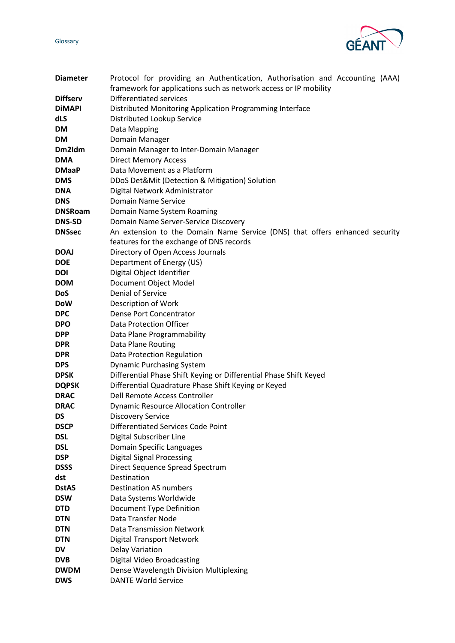GÉAN

| <b>Diameter</b> | Protocol for providing an Authentication, Authorisation and Accounting (AAA) |
|-----------------|------------------------------------------------------------------------------|
|                 | framework for applications such as network access or IP mobility             |
| <b>Diffserv</b> | <b>Differentiated services</b>                                               |
| <b>DiMAPI</b>   | Distributed Monitoring Application Programming Interface                     |
| dLS             | Distributed Lookup Service                                                   |
| DM              | Data Mapping                                                                 |
| <b>DM</b>       | Domain Manager                                                               |
| Dm2ldm          | Domain Manager to Inter-Domain Manager                                       |
| <b>DMA</b>      | <b>Direct Memory Access</b>                                                  |
| <b>DMaaP</b>    | Data Movement as a Platform                                                  |
| <b>DMS</b>      | DDoS Det&Mit (Detection & Mitigation) Solution                               |
| <b>DNA</b>      | Digital Network Administrator                                                |
| <b>DNS</b>      | Domain Name Service                                                          |
| <b>DNSRoam</b>  | Domain Name System Roaming                                                   |
| <b>DNS-SD</b>   | Domain Name Server-Service Discovery                                         |
| <b>DNSsec</b>   | An extension to the Domain Name Service (DNS) that offers enhanced security  |
|                 | features for the exchange of DNS records                                     |
| <b>DOAJ</b>     | Directory of Open Access Journals                                            |
| <b>DOE</b>      | Department of Energy (US)                                                    |
| DOI             | Digital Object Identifier                                                    |
| <b>DOM</b>      | Document Object Model                                                        |
| <b>DoS</b>      | Denial of Service                                                            |
| <b>DoW</b>      | Description of Work                                                          |
| <b>DPC</b>      | Dense Port Concentrator                                                      |
| <b>DPO</b>      | <b>Data Protection Officer</b>                                               |
| <b>DPP</b>      | Data Plane Programmability                                                   |
| <b>DPR</b>      | Data Plane Routing                                                           |
| <b>DPR</b>      | Data Protection Regulation                                                   |
| <b>DPS</b>      | <b>Dynamic Purchasing System</b>                                             |
| <b>DPSK</b>     | Differential Phase Shift Keying or Differential Phase Shift Keyed            |
| <b>DQPSK</b>    | Differential Quadrature Phase Shift Keying or Keyed                          |
| <b>DRAC</b>     | Dell Remote Access Controller                                                |
| <b>DRAC</b>     | <b>Dynamic Resource Allocation Controller</b>                                |
| DS              | <b>Discovery Service</b>                                                     |
| <b>DSCP</b>     | Differentiated Services Code Point                                           |
| <b>DSL</b>      | Digital Subscriber Line                                                      |
| <b>DSL</b>      | Domain Specific Languages                                                    |
| <b>DSP</b>      | <b>Digital Signal Processing</b>                                             |
| <b>DSSS</b>     | Direct Sequence Spread Spectrum                                              |
| dst             | Destination                                                                  |
| <b>DstAS</b>    | <b>Destination AS numbers</b>                                                |
| <b>DSW</b>      | Data Systems Worldwide                                                       |
| <b>DTD</b>      | Document Type Definition                                                     |
| <b>DTN</b>      | Data Transfer Node                                                           |
| <b>DTN</b>      | <b>Data Transmission Network</b>                                             |
| <b>DTN</b>      | <b>Digital Transport Network</b>                                             |
| <b>DV</b>       | Delay Variation                                                              |
| <b>DVB</b>      | <b>Digital Video Broadcasting</b>                                            |
| <b>DWDM</b>     | Dense Wavelength Division Multiplexing                                       |
| <b>DWS</b>      | <b>DANTE World Service</b>                                                   |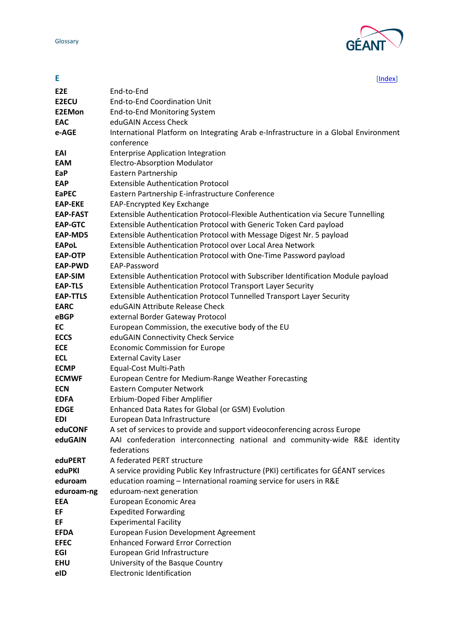

<span id="page-6-0"></span>

| E                | [Index]                                                                                           |
|------------------|---------------------------------------------------------------------------------------------------|
| E <sub>2</sub> E | End-to-End                                                                                        |
| <b>E2ECU</b>     | <b>End-to-End Coordination Unit</b>                                                               |
| <b>E2EMon</b>    | End-to-End Monitoring System                                                                      |
| <b>EAC</b>       | eduGAIN Access Check                                                                              |
| e-AGE            | International Platform on Integrating Arab e-Infrastructure in a Global Environment<br>conference |
| EAI              | <b>Enterprise Application Integration</b>                                                         |
| <b>EAM</b>       | Electro-Absorption Modulator                                                                      |
| EaP              | Eastern Partnership                                                                               |
| <b>EAP</b>       | <b>Extensible Authentication Protocol</b>                                                         |
| <b>EaPEC</b>     | Eastern Partnership E-infrastructure Conference                                                   |
| <b>EAP-EKE</b>   | EAP-Encrypted Key Exchange                                                                        |
| <b>EAP-FAST</b>  | Extensible Authentication Protocol-Flexible Authentication via Secure Tunnelling                  |
| <b>EAP-GTC</b>   | Extensible Authentication Protocol with Generic Token Card payload                                |
| EAP-MD5          | Extensible Authentication Protocol with Message Digest Nr. 5 payload                              |
| <b>EAPoL</b>     | Extensible Authentication Protocol over Local Area Network                                        |
| EAP-OTP          | Extensible Authentication Protocol with One-Time Password payload                                 |
| <b>EAP-PWD</b>   | EAP-Password                                                                                      |
| <b>EAP-SIM</b>   | Extensible Authentication Protocol with Subscriber Identification Module payload                  |
| <b>EAP-TLS</b>   | Extensible Authentication Protocol Transport Layer Security                                       |
| <b>EAP-TTLS</b>  | Extensible Authentication Protocol Tunnelled Transport Layer Security                             |
| <b>EARC</b>      | eduGAIN Attribute Release Check                                                                   |
| eBGP             | external Border Gateway Protocol                                                                  |
| EC               | European Commission, the executive body of the EU                                                 |
| <b>ECCS</b>      | eduGAIN Connectivity Check Service                                                                |
| <b>ECE</b>       | <b>Economic Commission for Europe</b>                                                             |
| <b>ECL</b>       | <b>External Cavity Laser</b>                                                                      |
| <b>ECMP</b>      | Equal-Cost Multi-Path                                                                             |
| <b>ECMWF</b>     | European Centre for Medium-Range Weather Forecasting                                              |
| <b>ECN</b>       | Eastern Computer Network                                                                          |
| <b>EDFA</b>      | Erbium-Doped Fiber Amplifier                                                                      |
| <b>EDGE</b>      | Enhanced Data Rates for Global (or GSM) Evolution                                                 |
| <b>EDI</b>       | European Data Infrastructure                                                                      |
| eduCONF          | A set of services to provide and support videoconferencing across Europe                          |
| eduGAIN          | AAI confederation interconnecting national and community-wide R&E identity                        |
|                  | federations                                                                                       |
| eduPERT          | A federated PERT structure                                                                        |
| eduPKI           | A service providing Public Key Infrastructure (PKI) certificates for GÉANT services               |
| eduroam          | education roaming - International roaming service for users in R&E                                |
| eduroam-ng       | eduroam-next generation                                                                           |
| EEA              | European Economic Area                                                                            |
| EF               | <b>Expedited Forwarding</b>                                                                       |
| EF               | <b>Experimental Facility</b>                                                                      |
| <b>EFDA</b>      | <b>European Fusion Development Agreement</b>                                                      |
| <b>EFEC</b>      | <b>Enhanced Forward Error Correction</b>                                                          |
| EGI              | European Grid Infrastructure                                                                      |
| <b>EHU</b>       | University of the Basque Country                                                                  |
| eID              | <b>Electronic Identification</b>                                                                  |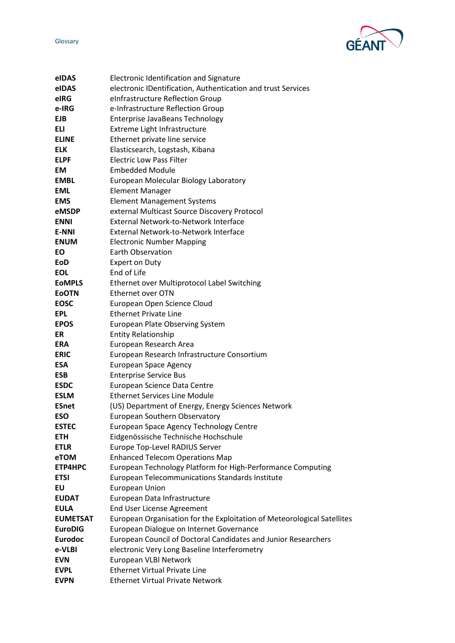



| eIDAS           | Electronic Identification and Signature                                 |
|-----------------|-------------------------------------------------------------------------|
| eIDAS           | electronic IDentification, Authentication and trust Services            |
| eIRG            | eInfrastructure Reflection Group                                        |
| e-IRG           | e-Infrastructure Reflection Group                                       |
| <b>EJB</b>      | Enterprise JavaBeans Technology                                         |
| <b>ELI</b>      | Extreme Light Infrastructure                                            |
| <b>ELINE</b>    | Ethernet private line service                                           |
| <b>ELK</b>      | Elasticsearch, Logstash, Kibana                                         |
| <b>ELPF</b>     | <b>Electric Low Pass Filter</b>                                         |
| <b>EM</b>       | <b>Embedded Module</b>                                                  |
| <b>EMBL</b>     | European Molecular Biology Laboratory                                   |
| <b>EML</b>      | <b>Element Manager</b>                                                  |
| <b>EMS</b>      | <b>Element Management Systems</b>                                       |
| eMSDP           | external Multicast Source Discovery Protocol                            |
| <b>ENNI</b>     | External Network-to-Network Interface                                   |
| <b>E-NNI</b>    | External Network-to-Network Interface                                   |
| <b>ENUM</b>     | <b>Electronic Number Mapping</b>                                        |
| EO              | Earth Observation                                                       |
| EoD             | <b>Expert on Duty</b>                                                   |
| <b>EOL</b>      | End of Life                                                             |
| <b>EOMPLS</b>   | Ethernet over Multiprotocol Label Switching                             |
| <b>EOOTN</b>    | <b>Ethernet over OTN</b>                                                |
| <b>EOSC</b>     | European Open Science Cloud                                             |
| <b>EPL</b>      | <b>Ethernet Private Line</b>                                            |
| <b>EPOS</b>     | <b>European Plate Observing System</b>                                  |
| ER              | <b>Entity Relationship</b>                                              |
| <b>ERA</b>      | European Research Area                                                  |
| <b>ERIC</b>     | European Research Infrastructure Consortium                             |
| <b>ESA</b>      | <b>European Space Agency</b>                                            |
| <b>ESB</b>      | <b>Enterprise Service Bus</b>                                           |
| <b>ESDC</b>     | European Science Data Centre                                            |
| <b>ESLM</b>     | <b>Ethernet Services Line Module</b>                                    |
| <b>ESnet</b>    | (US) Department of Energy, Energy Sciences Network                      |
| <b>ESO</b>      | European Southern Observatory                                           |
| <b>ESTEC</b>    | European Space Agency Technology Centre                                 |
| <b>ETH</b>      | Eidgenössische Technische Hochschule                                    |
| <b>ETLR</b>     | Europe Top-Level RADIUS Server                                          |
| eTOM            | <b>Enhanced Telecom Operations Map</b>                                  |
| ETP4HPC         | European Technology Platform for High-Performance Computing             |
| <b>ETSI</b>     | European Telecommunications Standards Institute                         |
| EU              | <b>European Union</b>                                                   |
| <b>EUDAT</b>    | European Data Infrastructure                                            |
| <b>EULA</b>     | <b>End User License Agreement</b>                                       |
| <b>EUMETSAT</b> | European Organisation for the Exploitation of Meteorological Satellites |
| <b>EuroDIG</b>  | European Dialogue on Internet Governance                                |
| <b>Eurodoc</b>  | European Council of Doctoral Candidates and Junior Researchers          |
| e-VLBI          | electronic Very Long Baseline Interferometry                            |
| <b>EVN</b>      | European VLBI Network                                                   |
| <b>EVPL</b>     | <b>Ethernet Virtual Private Line</b>                                    |
| <b>EVPN</b>     | <b>Ethernet Virtual Private Network</b>                                 |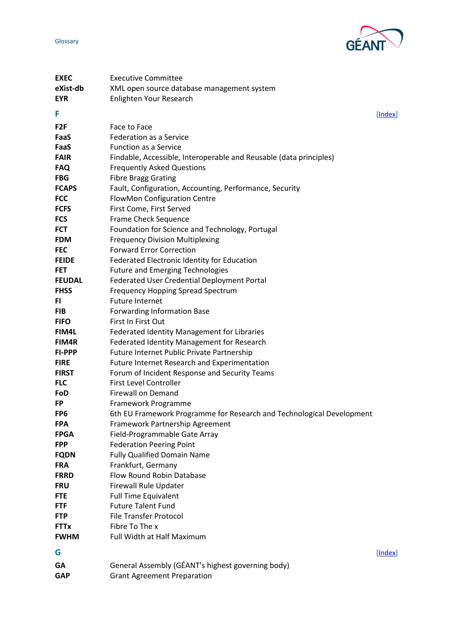

<span id="page-8-1"></span><span id="page-8-0"></span>

| <b>EXEC</b>     | <b>Executive Committee</b>                                            |         |
|-----------------|-----------------------------------------------------------------------|---------|
| eXist-db        | XML open source database management system                            |         |
| <b>EYR</b>      | Enlighten Your Research                                               |         |
| F               |                                                                       |         |
|                 |                                                                       | [Index] |
| F <sub>2F</sub> | Face to Face                                                          |         |
| FaaS            | <b>Federation as a Service</b>                                        |         |
| FaaS            | <b>Function as a Service</b>                                          |         |
| <b>FAIR</b>     | Findable, Accessible, Interoperable and Reusable (data principles)    |         |
| <b>FAQ</b>      | <b>Frequently Asked Questions</b>                                     |         |
| <b>FBG</b>      | <b>Fibre Bragg Grating</b>                                            |         |
| <b>FCAPS</b>    | Fault, Configuration, Accounting, Performance, Security               |         |
| <b>FCC</b>      | FlowMon Configuration Centre                                          |         |
| <b>FCFS</b>     | First Come, First Served                                              |         |
| <b>FCS</b>      | Frame Check Sequence                                                  |         |
| <b>FCT</b>      | Foundation for Science and Technology, Portugal                       |         |
| <b>FDM</b>      | <b>Frequency Division Multiplexing</b>                                |         |
| <b>FEC</b>      | <b>Forward Error Correction</b>                                       |         |
| <b>FEIDE</b>    | Federated Electronic Identity for Education                           |         |
| <b>FET</b>      | <b>Future and Emerging Technologies</b>                               |         |
| <b>FEUDAL</b>   | Federated User Credential Deployment Portal                           |         |
| <b>FHSS</b>     | <b>Frequency Hopping Spread Spectrum</b>                              |         |
| FI.             | <b>Future Internet</b>                                                |         |
| <b>FIB</b>      | <b>Forwarding Information Base</b>                                    |         |
| <b>FIFO</b>     | First In First Out                                                    |         |
| FIM4L           | Federated Identity Management for Libraries                           |         |
| FIM4R           | Federated Identity Management for Research                            |         |
| <b>FI-PPP</b>   | Future Internet Public Private Partnership                            |         |
| <b>FIRE</b>     | Future Internet Research and Experimentation                          |         |
| <b>FIRST</b>    | Forum of Incident Response and Security Teams                         |         |
| <b>FLC</b>      | <b>First Level Controller</b>                                         |         |
| FoD             | <b>Firewall on Demand</b>                                             |         |
| <b>FP</b>       | Framework Programme                                                   |         |
| FP <sub>6</sub> | 6th EU Framework Programme for Research and Technological Development |         |
| <b>FPA</b>      | Framework Partnership Agreement                                       |         |
| <b>FPGA</b>     | Field-Programmable Gate Array                                         |         |
| <b>FPP</b>      | <b>Federation Peering Point</b>                                       |         |
| <b>FQDN</b>     | <b>Fully Qualified Domain Name</b>                                    |         |
| <b>FRA</b>      | Frankfurt, Germany                                                    |         |
| <b>FRRD</b>     | Flow Round Robin Database                                             |         |
| <b>FRU</b>      | Firewall Rule Updater                                                 |         |
| <b>FTE</b>      | <b>Full Time Equivalent</b>                                           |         |
| <b>FTF</b>      | <b>Future Talent Fund</b>                                             |         |
| <b>FTP</b>      | <b>File Transfer Protocol</b>                                         |         |
| <b>FTTx</b>     | Fibre To The x                                                        |         |
| <b>FWHM</b>     | Full Width at Half Maximum                                            |         |
| G               |                                                                       | [Index] |
| GА              | General Assembly (GÉANT's highest governing body)                     |         |
| <b>GAP</b>      | <b>Grant Agreement Preparation</b>                                    |         |
|                 |                                                                       |         |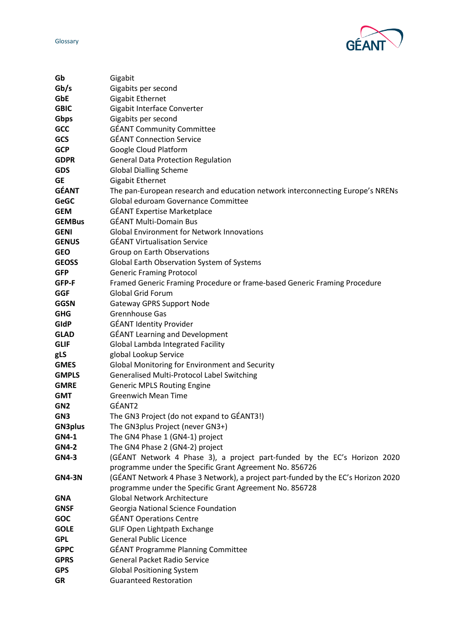

| Gb              | Gigabit                                                                           |
|-----------------|-----------------------------------------------------------------------------------|
| Gb/s            | Gigabits per second                                                               |
| <b>GbE</b>      | <b>Gigabit Ethernet</b>                                                           |
| <b>GBIC</b>     | Gigabit Interface Converter                                                       |
| Gbps            | Gigabits per second                                                               |
| <b>GCC</b>      | <b>GÉANT Community Committee</b>                                                  |
| <b>GCS</b>      | <b>GÉANT Connection Service</b>                                                   |
| <b>GCP</b>      | Google Cloud Platform                                                             |
| <b>GDPR</b>     | <b>General Data Protection Regulation</b>                                         |
| <b>GDS</b>      | <b>Global Dialling Scheme</b>                                                     |
| <b>GE</b>       | Gigabit Ethernet                                                                  |
| <b>GÉANT</b>    | The pan-European research and education network interconnecting Europe's NRENs    |
| <b>GeGC</b>     | Global eduroam Governance Committee                                               |
| <b>GEM</b>      | <b>GÉANT Expertise Marketplace</b>                                                |
| <b>GEMBus</b>   | <b>GÉANT Multi-Domain Bus</b>                                                     |
| <b>GENI</b>     | <b>Global Environment for Network Innovations</b>                                 |
| <b>GENUS</b>    | <b>GÉANT Virtualisation Service</b>                                               |
| <b>GEO</b>      | Group on Earth Observations                                                       |
| <b>GEOSS</b>    | Global Earth Observation System of Systems                                        |
| <b>GFP</b>      | <b>Generic Framing Protocol</b>                                                   |
| GFP-F           | Framed Generic Framing Procedure or frame-based Generic Framing Procedure         |
| <b>GGF</b>      | <b>Global Grid Forum</b>                                                          |
| <b>GGSN</b>     | <b>Gateway GPRS Support Node</b>                                                  |
| <b>GHG</b>      | Grennhouse Gas                                                                    |
| GIdP            | <b>GÉANT Identity Provider</b>                                                    |
| <b>GLAD</b>     | <b>GÉANT Learning and Development</b>                                             |
| <b>GLIF</b>     | Global Lambda Integrated Facility                                                 |
| gLS             | global Lookup Service                                                             |
| <b>GMES</b>     | Global Monitoring for Environment and Security                                    |
| <b>GMPLS</b>    | Generalised Multi-Protocol Label Switching                                        |
| <b>GMRE</b>     | <b>Generic MPLS Routing Engine</b>                                                |
| <b>GMT</b>      | <b>Greenwich Mean Time</b>                                                        |
| GN <sub>2</sub> | GÉANT2                                                                            |
| GN <sub>3</sub> | The GN3 Project (do not expand to GÉANT3!)                                        |
| <b>GN3plus</b>  | The GN3plus Project (never GN3+)                                                  |
| GN4-1           | The GN4 Phase 1 (GN4-1) project                                                   |
| <b>GN4-2</b>    | The GN4 Phase 2 (GN4-2) project                                                   |
| <b>GN4-3</b>    | (GÉANT Network 4 Phase 3), a project part-funded by the EC's Horizon 2020         |
|                 | programme under the Specific Grant Agreement No. 856726                           |
| <b>GN4-3N</b>   | (GÉANT Network 4 Phase 3 Network), a project part-funded by the EC's Horizon 2020 |
|                 | programme under the Specific Grant Agreement No. 856728                           |
| <b>GNA</b>      | <b>Global Network Architecture</b>                                                |
| <b>GNSF</b>     | Georgia National Science Foundation                                               |
| <b>GOC</b>      | <b>GÉANT Operations Centre</b>                                                    |
| <b>GOLE</b>     | GLIF Open Lightpath Exchange                                                      |
| <b>GPL</b>      | <b>General Public Licence</b>                                                     |
| <b>GPPC</b>     | <b>GÉANT Programme Planning Committee</b>                                         |
| <b>GPRS</b>     | <b>General Packet Radio Service</b>                                               |
| <b>GPS</b>      | <b>Global Positioning System</b>                                                  |
| GR              | <b>Guaranteed Restoration</b>                                                     |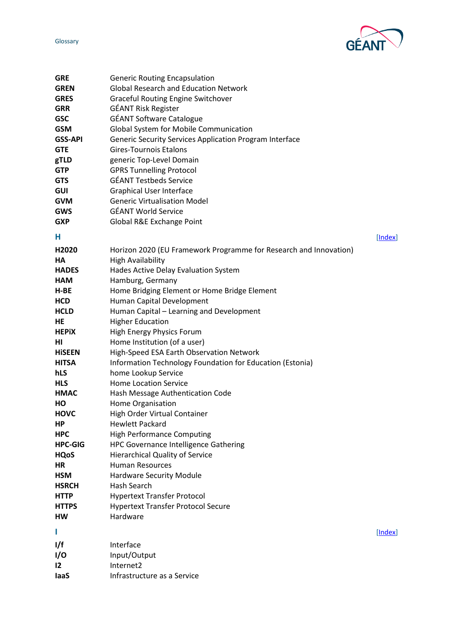

<span id="page-10-1"></span><span id="page-10-0"></span>

| <b>GRE</b>     | <b>Generic Routing Encapsulation</b>                              |         |
|----------------|-------------------------------------------------------------------|---------|
| <b>GREN</b>    | <b>Global Research and Education Network</b>                      |         |
| <b>GRES</b>    | <b>Graceful Routing Engine Switchover</b>                         |         |
| <b>GRR</b>     | <b>GÉANT Risk Register</b>                                        |         |
| <b>GSC</b>     | <b>GÉANT Software Catalogue</b>                                   |         |
| <b>GSM</b>     | Global System for Mobile Communication                            |         |
| <b>GSS-API</b> | Generic Security Services Application Program Interface           |         |
| <b>GTE</b>     | <b>Gires-Tournois Etalons</b>                                     |         |
| gTLD           | generic Top-Level Domain                                          |         |
| <b>GTP</b>     | <b>GPRS Tunnelling Protocol</b>                                   |         |
| <b>GTS</b>     | <b>GÉANT Testbeds Service</b>                                     |         |
| <b>GUI</b>     | <b>Graphical User Interface</b>                                   |         |
| <b>GVM</b>     | <b>Generic Virtualisation Model</b>                               |         |
| <b>GWS</b>     | <b>GÉANT World Service</b>                                        |         |
| <b>GXP</b>     | Global R&E Exchange Point                                         |         |
|                |                                                                   |         |
| Н              |                                                                   | [Index] |
| H2020          | Horizon 2020 (EU Framework Programme for Research and Innovation) |         |
| HА             | <b>High Availability</b>                                          |         |
| <b>HADES</b>   | Hades Active Delay Evaluation System                              |         |
| <b>HAM</b>     | Hamburg, Germany                                                  |         |
| H-BE           | Home Bridging Element or Home Bridge Element                      |         |
| <b>HCD</b>     | Human Capital Development                                         |         |
| <b>HCLD</b>    | Human Capital - Learning and Development                          |         |
| HE             | <b>Higher Education</b>                                           |         |
| <b>HEPIX</b>   | High Energy Physics Forum                                         |         |
| ΗI             | Home Institution (of a user)                                      |         |
| <b>HISEEN</b>  | High-Speed ESA Earth Observation Network                          |         |
| <b>HITSA</b>   | Information Technology Foundation for Education (Estonia)         |         |
| hLS            | home Lookup Service                                               |         |
| <b>HLS</b>     | <b>Home Location Service</b>                                      |         |
| <b>HMAC</b>    | Hash Message Authentication Code                                  |         |
| HO             | Home Organisation                                                 |         |
| <b>HOVC</b>    | High Order Virtual Container                                      |         |
| ΗP             | <b>Hewlett Packard</b>                                            |         |
| <b>HPC</b>     | <b>High Performance Computing</b>                                 |         |
| <b>HPC-GIG</b> | HPC Governance Intelligence Gathering                             |         |
| <b>HQoS</b>    | <b>Hierarchical Quality of Service</b>                            |         |
| ΗR             | <b>Human Resources</b>                                            |         |
| <b>HSM</b>     | Hardware Security Module                                          |         |
| <b>HSRCH</b>   | Hash Search                                                       |         |
| <b>HTTP</b>    | <b>Hypertext Transfer Protocol</b>                                |         |
| <b>HTTPS</b>   | <b>Hypertext Transfer Protocol Secure</b>                         |         |
| НW             | Hardware                                                          |         |
| L              |                                                                   | [Index] |
| l/f            | Interface                                                         |         |
| I/O            | Input/Output                                                      |         |
| 12             | Internet2                                                         |         |
| laaS           | Infrastructure as a Service                                       |         |
|                |                                                                   |         |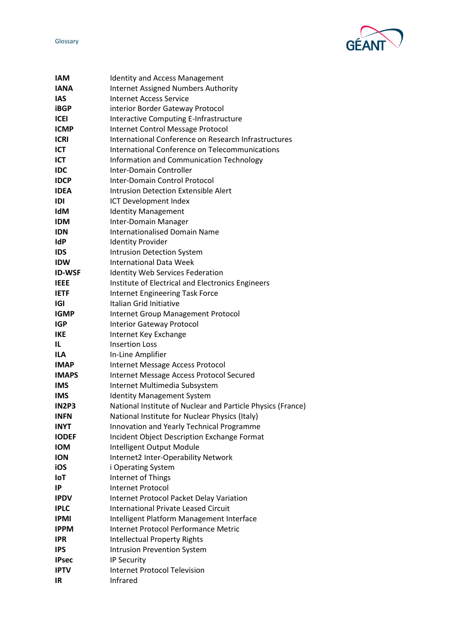

| <b>IAM</b>    | <b>Identity and Access Management</b>                       |
|---------------|-------------------------------------------------------------|
| <b>IANA</b>   | <b>Internet Assigned Numbers Authority</b>                  |
| IAS           | <b>Internet Access Service</b>                              |
| <b>iBGP</b>   | interior Border Gateway Protocol                            |
| <b>ICEI</b>   | <b>Interactive Computing E-Infrastructure</b>               |
| <b>ICMP</b>   | Internet Control Message Protocol                           |
| <b>ICRI</b>   | International Conference on Research Infrastructures        |
| ICT           | International Conference on Telecommunications              |
| ICT           | Information and Communication Technology                    |
| <b>IDC</b>    | Inter-Domain Controller                                     |
| <b>IDCP</b>   | Inter-Domain Control Protocol                               |
| <b>IDEA</b>   | <b>Intrusion Detection Extensible Alert</b>                 |
| IDI           | ICT Development Index                                       |
| <b>IdM</b>    | <b>Identity Management</b>                                  |
| <b>IDM</b>    | Inter-Domain Manager                                        |
| <b>IDN</b>    | <b>Internationalised Domain Name</b>                        |
| <b>IdP</b>    | <b>Identity Provider</b>                                    |
| <b>IDS</b>    | <b>Intrusion Detection System</b>                           |
| <b>IDW</b>    | <b>International Data Week</b>                              |
| <b>ID-WSF</b> | <b>Identity Web Services Federation</b>                     |
| <b>IEEE</b>   | Institute of Electrical and Electronics Engineers           |
| <b>IETF</b>   | <b>Internet Engineering Task Force</b>                      |
| IGI           | Italian Grid Initiative                                     |
| <b>IGMP</b>   | <b>Internet Group Management Protocol</b>                   |
| <b>IGP</b>    | <b>Interior Gateway Protocol</b>                            |
| <b>IKE</b>    | Internet Key Exchange                                       |
| IL            | <b>Insertion Loss</b>                                       |
| <b>ILA</b>    | In-Line Amplifier                                           |
| <b>IMAP</b>   | Internet Message Access Protocol                            |
| <b>IMAPS</b>  | Internet Message Access Protocol Secured                    |
| <b>IMS</b>    | Internet Multimedia Subsystem                               |
| <b>IMS</b>    | <b>Identity Management System</b>                           |
| <b>IN2P3</b>  | National Institute of Nuclear and Particle Physics (France) |
| <b>INFN</b>   | National Institute for Nuclear Physics (Italy)              |
| <b>INYT</b>   | Innovation and Yearly Technical Programme                   |
| <b>IODEF</b>  | Incident Object Description Exchange Format                 |
| <b>IOM</b>    | Intelligent Output Module                                   |
| <b>ION</b>    | Internet2 Inter-Operability Network                         |
| iOS           | i Operating System                                          |
| <b>IoT</b>    | Internet of Things                                          |
| IP            | <b>Internet Protocol</b>                                    |
| <b>IPDV</b>   | <b>Internet Protocol Packet Delay Variation</b>             |
| <b>IPLC</b>   | <b>International Private Leased Circuit</b>                 |
| <b>IPMI</b>   | Intelligent Platform Management Interface                   |
| <b>IPPM</b>   | Internet Protocol Performance Metric                        |
| <b>IPR</b>    | <b>Intellectual Property Rights</b>                         |
| <b>IPS</b>    | <b>Intrusion Prevention System</b>                          |
| <b>IPsec</b>  | IP Security                                                 |
| <b>IPTV</b>   | <b>Internet Protocol Television</b>                         |
| IR            | Infrared                                                    |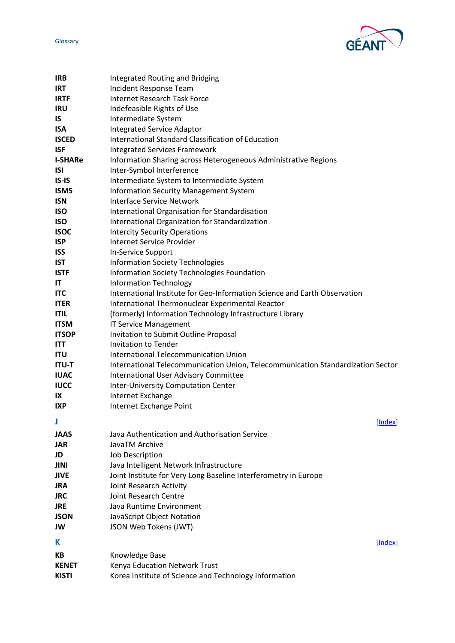

<span id="page-12-1"></span><span id="page-12-0"></span>

| <b>IRB</b>     | Integrated Routing and Bridging                                                 |
|----------------|---------------------------------------------------------------------------------|
| <b>IRT</b>     | Incident Response Team                                                          |
| <b>IRTF</b>    | <b>Internet Research Task Force</b>                                             |
| <b>IRU</b>     | Indefeasible Rights of Use                                                      |
| IS             | Intermediate System                                                             |
| <b>ISA</b>     | <b>Integrated Service Adaptor</b>                                               |
| <b>ISCED</b>   | International Standard Classification of Education                              |
| <b>ISF</b>     | <b>Integrated Services Framework</b>                                            |
| <b>I-SHARe</b> | Information Sharing across Heterogeneous Administrative Regions                 |
| <b>ISI</b>     | Inter-Symbol Interference                                                       |
| $IS-IS$        | Intermediate System to Intermediate System                                      |
| <b>ISMS</b>    | <b>Information Security Management System</b>                                   |
| <b>ISN</b>     | <b>Interface Service Network</b>                                                |
| <b>ISO</b>     | International Organisation for Standardisation                                  |
| <b>ISO</b>     | International Organization for Standardization                                  |
| <b>ISOC</b>    | <b>Intercity Security Operations</b>                                            |
| <b>ISP</b>     | <b>Internet Service Provider</b>                                                |
| <b>ISS</b>     | In-Service Support                                                              |
| <b>IST</b>     | <b>Information Society Technologies</b>                                         |
| <b>ISTF</b>    | <b>Information Society Technologies Foundation</b>                              |
| IT             | <b>Information Technology</b>                                                   |
| <b>ITC</b>     | International Institute for Geo-Information Science and Earth Observation       |
| <b>ITER</b>    | International Thermonuclear Experimental Reactor                                |
| <b>ITIL</b>    | (formerly) Information Technology Infrastructure Library                        |
| <b>ITSM</b>    | <b>IT Service Management</b>                                                    |
| <b>ITSOP</b>   | Invitation to Submit Outline Proposal                                           |
| <b>ITT</b>     | <b>Invitation to Tender</b>                                                     |
| <b>ITU</b>     | International Telecommunication Union                                           |
| <b>ITU-T</b>   | International Telecommunication Union, Telecommunication Standardization Sector |
| <b>IUAC</b>    | <b>International User Advisory Committee</b>                                    |
| <b>IUCC</b>    | <b>Inter-University Computation Center</b>                                      |
| IX             | Internet Exchange                                                               |
| <b>IXP</b>     | Internet Exchange Point                                                         |
| J              | [Index]                                                                         |
| <b>JAAS</b>    | Java Authentication and Authorisation Service                                   |
| JAR            | JavaTM Archive                                                                  |
| JD             | Job Description                                                                 |
| JINI           | Java Intelligent Network Infrastructure                                         |
| JIVE           | Joint Institute for Very Long Baseline Interferometry in Europe                 |
| <b>JRA</b>     | Joint Research Activity                                                         |
| <b>JRC</b>     | Joint Research Centre                                                           |
| <b>JRE</b>     | Java Runtime Environment                                                        |
| JSON           | JavaScript Object Notation                                                      |
| JW             | JSON Web Tokens (JWT)                                                           |
|                |                                                                                 |
| Κ              | [Index]                                                                         |
| KВ             | Knowledge Base                                                                  |
| <b>KENET</b>   | Kenya Education Network Trust                                                   |
| <b>KISTI</b>   | Korea Institute of Science and Technology Information                           |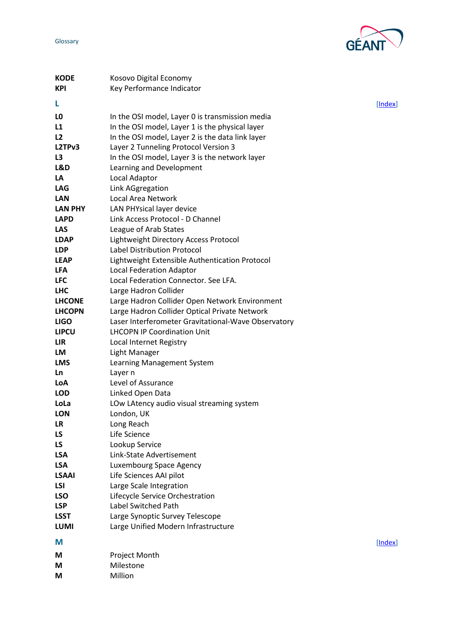

<span id="page-13-1"></span><span id="page-13-0"></span>

| <b>KODE</b>    | Kosovo Digital Economy                              |         |
|----------------|-----------------------------------------------------|---------|
| <b>KPI</b>     | Key Performance Indicator                           |         |
| L              |                                                     | [Index] |
|                |                                                     |         |
| LO             | In the OSI model, Layer 0 is transmission media     |         |
| L1             | In the OSI model, Layer 1 is the physical layer     |         |
| L2             | In the OSI model, Layer 2 is the data link layer    |         |
| L2TPv3         | Layer 2 Tunneling Protocol Version 3                |         |
| L3             | In the OSI model, Layer 3 is the network layer      |         |
| L&D            | Learning and Development                            |         |
| LA             | Local Adaptor                                       |         |
| <b>LAG</b>     | Link AGgregation                                    |         |
| <b>LAN</b>     | Local Area Network                                  |         |
| <b>LAN PHY</b> | LAN PHYsical layer device                           |         |
| <b>LAPD</b>    | Link Access Protocol - D Channel                    |         |
| <b>LAS</b>     | League of Arab States                               |         |
| <b>LDAP</b>    | Lightweight Directory Access Protocol               |         |
| <b>LDP</b>     | <b>Label Distribution Protocol</b>                  |         |
| <b>LEAP</b>    | Lightweight Extensible Authentication Protocol      |         |
| <b>LFA</b>     | <b>Local Federation Adaptor</b>                     |         |
| <b>LFC</b>     | Local Federation Connector. See LFA.                |         |
| <b>LHC</b>     | Large Hadron Collider                               |         |
| <b>LHCONE</b>  | Large Hadron Collider Open Network Environment      |         |
| <b>LHCOPN</b>  | Large Hadron Collider Optical Private Network       |         |
| <b>LIGO</b>    | Laser Interferometer Gravitational-Wave Observatory |         |
| <b>LIPCU</b>   | <b>LHCOPN IP Coordination Unit</b>                  |         |
| LIR            | Local Internet Registry                             |         |
| LM             | Light Manager                                       |         |
| <b>LMS</b>     | Learning Management System                          |         |
| Ln             | Layer n                                             |         |
| LoA            | Level of Assurance                                  |         |
| <b>LOD</b>     | Linked Open Data                                    |         |
| LoLa           | LOw LAtency audio visual streaming system           |         |
| <b>LON</b>     | London, UK                                          |         |
| LR             | Long Reach                                          |         |
| <b>LS</b>      | Life Science                                        |         |
| LS.            | Lookup Service                                      |         |
| <b>LSA</b>     | Link-State Advertisement                            |         |
| <b>LSA</b>     | Luxembourg Space Agency                             |         |
| <b>LSAAI</b>   | Life Sciences AAI pilot                             |         |
| <b>LSI</b>     | Large Scale Integration                             |         |
| <b>LSO</b>     | Lifecycle Service Orchestration                     |         |
| <b>LSP</b>     | Label Switched Path                                 |         |
| <b>LSST</b>    | Large Synoptic Survey Telescope                     |         |
| <b>LUMI</b>    | Large Unified Modern Infrastructure                 |         |
|                |                                                     |         |
| М              |                                                     | [Index] |
| М              | Project Month                                       |         |
| М              | Milestone                                           |         |
| М              | Million                                             |         |
|                |                                                     |         |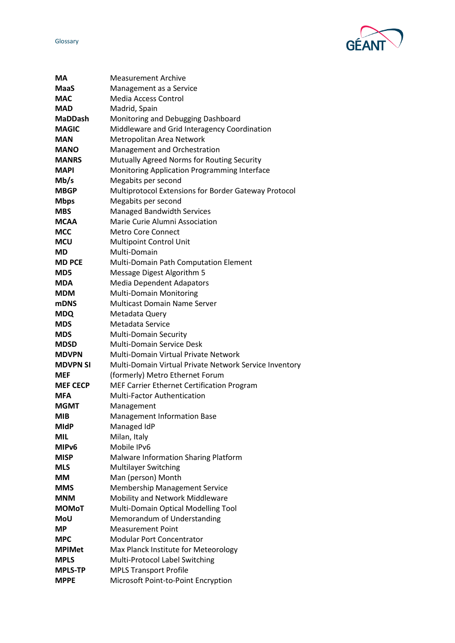

| MА                | <b>Measurement Archive</b>                                  |
|-------------------|-------------------------------------------------------------|
| MaaS              | Management as a Service                                     |
| <b>MAC</b>        | <b>Media Access Control</b>                                 |
| <b>MAD</b>        | Madrid, Spain                                               |
| <b>MaDDash</b>    | Monitoring and Debugging Dashboard                          |
| <b>MAGIC</b>      | Middleware and Grid Interagency Coordination                |
| <b>MAN</b>        | Metropolitan Area Network                                   |
| MANO              | Management and Orchestration                                |
| <b>MANRS</b>      | Mutually Agreed Norms for Routing Security                  |
| <b>MAPI</b>       | Monitoring Application Programming Interface                |
| Mb/s              | Megabits per second                                         |
| <b>MBGP</b>       | <b>Multiprotocol Extensions for Border Gateway Protocol</b> |
| <b>Mbps</b>       | Megabits per second                                         |
| <b>MBS</b>        | <b>Managed Bandwidth Services</b>                           |
| <b>MCAA</b>       | Marie Curie Alumni Association                              |
| MCC               | <b>Metro Core Connect</b>                                   |
| <b>MCU</b>        | <b>Multipoint Control Unit</b>                              |
| MD                | Multi-Domain                                                |
| <b>MD PCE</b>     | Multi-Domain Path Computation Element                       |
| MD5               | Message Digest Algorithm 5                                  |
| <b>MDA</b>        | <b>Media Dependent Adapators</b>                            |
| <b>MDM</b>        | Multi-Domain Monitoring                                     |
| mDNS              | <b>Multicast Domain Name Server</b>                         |
| <b>MDQ</b>        | Metadata Query                                              |
| <b>MDS</b>        | Metadata Service                                            |
| <b>MDS</b>        | <b>Multi-Domain Security</b>                                |
| <b>MDSD</b>       | <b>Multi-Domain Service Desk</b>                            |
| <b>MDVPN</b>      | <b>Multi-Domain Virtual Private Network</b>                 |
| <b>MDVPN SI</b>   | Multi-Domain Virtual Private Network Service Inventory      |
| <b>MEF</b>        | (formerly) Metro Ethernet Forum                             |
| <b>MEF CECP</b>   | MEF Carrier Ethernet Certification Program                  |
| MFA               | <b>Multi-Factor Authentication</b>                          |
| <b>MGMT</b>       | Management                                                  |
| <b>MIB</b>        | <b>Management Information Base</b>                          |
| <b>MIdP</b>       | Managed IdP                                                 |
| MIL               | Milan, Italy                                                |
| MIP <sub>v6</sub> | Mobile IPv6                                                 |
| <b>MISP</b>       | Malware Information Sharing Platform                        |
| <b>MLS</b>        | Multilayer Switching                                        |
| MМ                | Man (person) Month                                          |
| <b>MMS</b>        | <b>Membership Management Service</b>                        |
| <b>MNM</b>        | Mobility and Network Middleware                             |
| <b>MOMoT</b>      | Multi-Domain Optical Modelling Tool                         |
| <b>MoU</b>        | Memorandum of Understanding                                 |
| <b>MP</b>         | <b>Measurement Point</b>                                    |
| <b>MPC</b>        | <b>Modular Port Concentrator</b>                            |
| <b>MPIMet</b>     | Max Planck Institute for Meteorology                        |
| <b>MPLS</b>       | Multi-Protocol Label Switching                              |
| <b>MPLS-TP</b>    | <b>MPLS Transport Profile</b>                               |
| <b>MPPE</b>       | Microsoft Point-to-Point Encryption                         |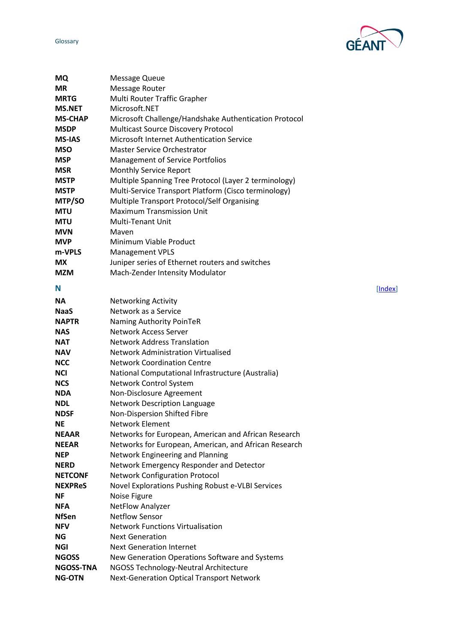

<span id="page-15-0"></span>

| <b>MQ</b>      | Message Queue                                         |         |
|----------------|-------------------------------------------------------|---------|
| <b>MR</b>      | <b>Message Router</b>                                 |         |
| <b>MRTG</b>    | Multi Router Traffic Grapher                          |         |
| <b>MS.NET</b>  | Microsoft.NET                                         |         |
| <b>MS-CHAP</b> | Microsoft Challenge/Handshake Authentication Protocol |         |
| <b>MSDP</b>    | <b>Multicast Source Discovery Protocol</b>            |         |
| <b>MS-IAS</b>  | Microsoft Internet Authentication Service             |         |
| <b>MSO</b>     | <b>Master Service Orchestrator</b>                    |         |
| <b>MSP</b>     | <b>Management of Service Portfolios</b>               |         |
| <b>MSR</b>     | Monthly Service Report                                |         |
| <b>MSTP</b>    | Multiple Spanning Tree Protocol (Layer 2 terminology) |         |
| <b>MSTP</b>    | Multi-Service Transport Platform (Cisco terminology)  |         |
| MTP/SO         | Multiple Transport Protocol/Self Organising           |         |
| <b>MTU</b>     | <b>Maximum Transmission Unit</b>                      |         |
| <b>MTU</b>     | <b>Multi-Tenant Unit</b>                              |         |
| <b>MVN</b>     | Maven                                                 |         |
| <b>MVP</b>     | Minimum Viable Product                                |         |
| m-VPLS         | <b>Management VPLS</b>                                |         |
| МX             | Juniper series of Ethernet routers and switches       |         |
| <b>MZM</b>     | Mach-Zender Intensity Modulator                       |         |
| N              |                                                       | [Index] |
| <b>NA</b>      | <b>Networking Activity</b>                            |         |
| <b>NaaS</b>    | Network as a Service                                  |         |
| <b>NAPTR</b>   | Naming Authority PoinTeR                              |         |
| <b>NAS</b>     | <b>Network Access Server</b>                          |         |
| <b>NAT</b>     | <b>Network Address Translation</b>                    |         |
| <b>NAV</b>     | <b>Network Administration Virtualised</b>             |         |
| <b>NCC</b>     | <b>Network Coordination Centre</b>                    |         |
| <b>NCI</b>     | National Computational Infrastructure (Australia)     |         |
| <b>NCS</b>     | Network Control System                                |         |
| <b>NDA</b>     | Non-Disclosure Agreement                              |         |
| <b>NDL</b>     | <b>Network Description Language</b>                   |         |
| <b>NDSF</b>    | Non-Dispersion Shifted Fibre                          |         |
| NE.            | <b>Network Element</b>                                |         |
| <b>NEAAR</b>   | Networks for European, American and African Research  |         |
| <b>NEEAR</b>   | Networks for European, American, and African Research |         |
| <b>NEP</b>     | Network Engineering and Planning                      |         |
| <b>NERD</b>    | Network Emergency Responder and Detector              |         |
| <b>NETCONF</b> | <b>Network Configuration Protocol</b>                 |         |
| <b>NEXPReS</b> | Novel Explorations Pushing Robust e-VLBI Services     |         |
| ΝF             | Noise Figure                                          |         |
| <b>NFA</b>     | <b>NetFlow Analyzer</b>                               |         |
| <b>NfSen</b>   | <b>Netflow Sensor</b>                                 |         |
| <b>NFV</b>     | <b>Network Functions Virtualisation</b>               |         |
| ΝG             | <b>Next Generation</b>                                |         |
| <b>NGI</b>     | <b>Next Generation Internet</b>                       |         |
| <b>NGOSS</b>   | New Generation Operations Software and Systems        |         |
| NGOSS-TNA      | NGOSS Technology-Neutral Architecture                 |         |
| <b>NG-OTN</b>  | <b>Next-Generation Optical Transport Network</b>      |         |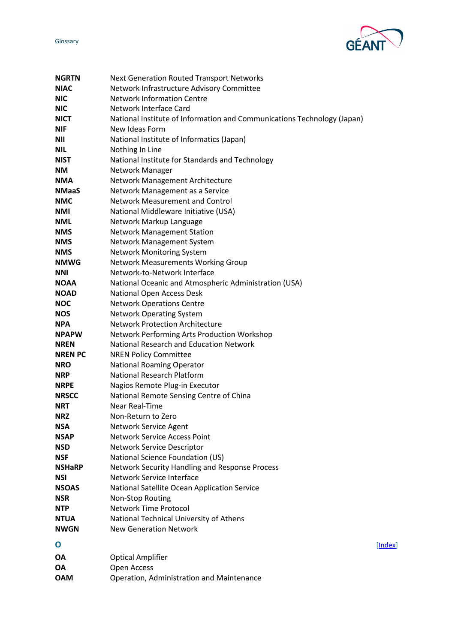

<span id="page-16-0"></span>

| <b>NGRTN</b>   | <b>Next Generation Routed Transport Networks</b>                        |         |
|----------------|-------------------------------------------------------------------------|---------|
| <b>NIAC</b>    | Network Infrastructure Advisory Committee                               |         |
| <b>NIC</b>     | <b>Network Information Centre</b>                                       |         |
| <b>NIC</b>     | Network Interface Card                                                  |         |
| <b>NICT</b>    | National Institute of Information and Communications Technology (Japan) |         |
| <b>NIF</b>     | New Ideas Form                                                          |         |
| <b>NII</b>     | National Institute of Informatics (Japan)                               |         |
| <b>NIL</b>     | Nothing In Line                                                         |         |
| <b>NIST</b>    | National Institute for Standards and Technology                         |         |
| <b>NM</b>      | Network Manager                                                         |         |
| <b>NMA</b>     | Network Management Architecture                                         |         |
| <b>NMaaS</b>   | Network Management as a Service                                         |         |
| <b>NMC</b>     | <b>Network Measurement and Control</b>                                  |         |
| <b>NMI</b>     | National Middleware Initiative (USA)                                    |         |
| <b>NML</b>     | Network Markup Language                                                 |         |
| <b>NMS</b>     | <b>Network Management Station</b>                                       |         |
| <b>NMS</b>     | Network Management System                                               |         |
| <b>NMS</b>     | <b>Network Monitoring System</b>                                        |         |
| <b>NMWG</b>    | <b>Network Measurements Working Group</b>                               |         |
| <b>NNI</b>     | Network-to-Network Interface                                            |         |
| <b>NOAA</b>    | National Oceanic and Atmospheric Administration (USA)                   |         |
| <b>NOAD</b>    | National Open Access Desk                                               |         |
| <b>NOC</b>     | <b>Network Operations Centre</b>                                        |         |
| <b>NOS</b>     | <b>Network Operating System</b>                                         |         |
| <b>NPA</b>     | <b>Network Protection Architecture</b>                                  |         |
| <b>NPAPW</b>   | Network Performing Arts Production Workshop                             |         |
| <b>NREN</b>    | National Research and Education Network                                 |         |
| <b>NREN PC</b> | <b>NREN Policy Committee</b>                                            |         |
| <b>NRO</b>     | <b>National Roaming Operator</b>                                        |         |
| <b>NRP</b>     | <b>National Research Platform</b>                                       |         |
| <b>NRPE</b>    | Nagios Remote Plug-in Executor                                          |         |
| <b>NRSCC</b>   | National Remote Sensing Centre of China                                 |         |
| <b>NRT</b>     | <b>Near Real-Time</b>                                                   |         |
| <b>NRZ</b>     | Non-Return to Zero                                                      |         |
| <b>NSA</b>     | Network Service Agent                                                   |         |
| <b>NSAP</b>    | <b>Network Service Access Point</b>                                     |         |
| <b>NSD</b>     | Network Service Descriptor                                              |         |
| <b>NSF</b>     | National Science Foundation (US)                                        |         |
| <b>NSHaRP</b>  | Network Security Handling and Response Process                          |         |
| <b>NSI</b>     | Network Service Interface                                               |         |
| <b>NSOAS</b>   | National Satellite Ocean Application Service                            |         |
| <b>NSR</b>     | Non-Stop Routing                                                        |         |
| <b>NTP</b>     | <b>Network Time Protocol</b>                                            |         |
| <b>NTUA</b>    | National Technical University of Athens                                 |         |
| <b>NWGN</b>    | <b>New Generation Network</b>                                           |         |
| O              |                                                                         | [Index] |
|                |                                                                         |         |
| ΟA             | <b>Optical Amplifier</b>                                                |         |
| ΟA             | Open Access                                                             |         |
| <b>OAM</b>     | Operation, Administration and Maintenance                               |         |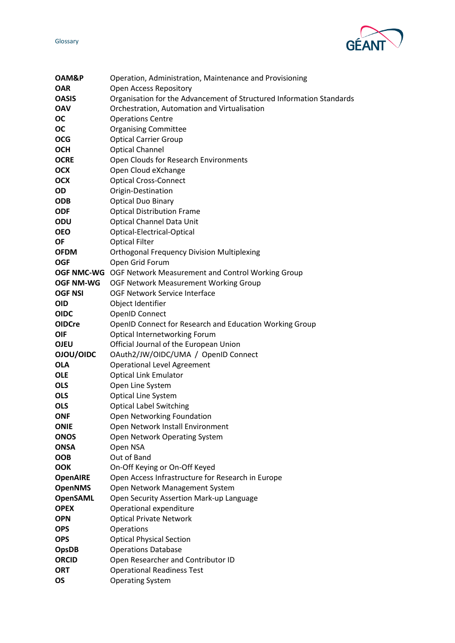

| OAM&P            | Operation, Administration, Maintenance and Provisioning              |
|------------------|----------------------------------------------------------------------|
| <b>OAR</b>       | <b>Open Access Repository</b>                                        |
| <b>OASIS</b>     | Organisation for the Advancement of Structured Information Standards |
| <b>OAV</b>       | Orchestration, Automation and Virtualisation                         |
| <b>OC</b>        | <b>Operations Centre</b>                                             |
| OС               | <b>Organising Committee</b>                                          |
| <b>OCG</b>       | <b>Optical Carrier Group</b>                                         |
| <b>OCH</b>       | <b>Optical Channel</b>                                               |
| <b>OCRE</b>      | Open Clouds for Research Environments                                |
| <b>OCX</b>       | Open Cloud eXchange                                                  |
| <b>OCX</b>       | <b>Optical Cross-Connect</b>                                         |
| OD               | Origin-Destination                                                   |
| <b>ODB</b>       | <b>Optical Duo Binary</b>                                            |
| <b>ODF</b>       | <b>Optical Distribution Frame</b>                                    |
| ODU              | <b>Optical Channel Data Unit</b>                                     |
| <b>OEO</b>       | Optical-Electrical-Optical                                           |
| <b>OF</b>        | <b>Optical Filter</b>                                                |
| <b>OFDM</b>      | <b>Orthogonal Frequency Division Multiplexing</b>                    |
| <b>OGF</b>       | Open Grid Forum                                                      |
|                  | OGF NMC-WG OGF Network Measurement and Control Working Group         |
| <b>OGF NM-WG</b> | OGF Network Measurement Working Group                                |
| <b>OGF NSI</b>   | OGF Network Service Interface                                        |
| <b>OID</b>       | Object Identifier                                                    |
| <b>OIDC</b>      | <b>OpenID Connect</b>                                                |
| <b>OIDCre</b>    | OpenID Connect for Research and Education Working Group              |
| <b>OIF</b>       | Optical Internetworking Forum                                        |
| <b>OJEU</b>      | Official Journal of the European Union                               |
| OJOU/OIDC        | OAuth2/JW/OIDC/UMA / OpenID Connect                                  |
| <b>OLA</b>       | <b>Operational Level Agreement</b>                                   |
| <b>OLE</b>       | <b>Optical Link Emulator</b>                                         |
| <b>OLS</b>       | Open Line System                                                     |
| <b>OLS</b>       | Optical Line System                                                  |
| <b>OLS</b>       | <b>Optical Label Switching</b>                                       |
| <b>ONF</b>       | Open Networking Foundation                                           |
| <b>ONIE</b>      | Open Network Install Environment                                     |
| <b>ONOS</b>      | Open Network Operating System                                        |
| <b>ONSA</b>      | Open NSA                                                             |
| <b>OOB</b>       | Out of Band                                                          |
| <b>OOK</b>       | On-Off Keying or On-Off Keyed                                        |
| <b>OpenAIRE</b>  | Open Access Infrastructure for Research in Europe                    |
| <b>OpenNMS</b>   | Open Network Management System                                       |
| <b>OpenSAML</b>  | Open Security Assertion Mark-up Language                             |
| <b>OPEX</b>      | Operational expenditure                                              |
| <b>OPN</b>       | <b>Optical Private Network</b>                                       |
| <b>OPS</b>       | Operations                                                           |
| <b>OPS</b>       | <b>Optical Physical Section</b>                                      |
| <b>OpsDB</b>     | <b>Operations Database</b>                                           |
| <b>ORCID</b>     | Open Researcher and Contributor ID                                   |
| <b>ORT</b>       | <b>Operational Readiness Test</b>                                    |
| <b>OS</b>        | <b>Operating System</b>                                              |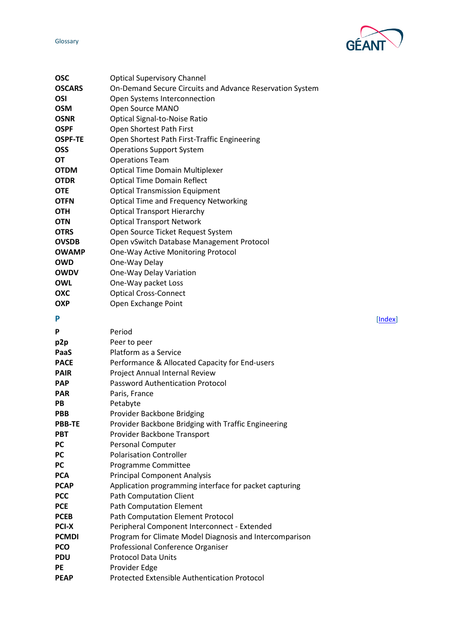GÉA

<span id="page-18-0"></span>

| <b>OSC</b>     | <b>Optical Supervisory Channel</b>                       |
|----------------|----------------------------------------------------------|
| <b>OSCARS</b>  | On-Demand Secure Circuits and Advance Reservation System |
| OSI            | Open Systems Interconnection                             |
| <b>OSM</b>     | Open Source MANO                                         |
| <b>OSNR</b>    | <b>Optical Signal-to-Noise Ratio</b>                     |
| <b>OSPF</b>    | Open Shortest Path First                                 |
| <b>OSPF-TE</b> | Open Shortest Path First-Traffic Engineering             |
| <b>OSS</b>     | <b>Operations Support System</b>                         |
| OT             | <b>Operations Team</b>                                   |
| <b>OTDM</b>    | <b>Optical Time Domain Multiplexer</b>                   |
| <b>OTDR</b>    | <b>Optical Time Domain Reflect</b>                       |
| <b>OTE</b>     | <b>Optical Transmission Equipment</b>                    |
| <b>OTFN</b>    | <b>Optical Time and Frequency Networking</b>             |
| <b>OTH</b>     | <b>Optical Transport Hierarchy</b>                       |
| <b>OTN</b>     | <b>Optical Transport Network</b>                         |
| <b>OTRS</b>    | Open Source Ticket Request System                        |
| <b>OVSDB</b>   | Open vSwitch Database Management Protocol                |
| <b>OWAMP</b>   | One-Way Active Monitoring Protocol                       |
| <b>OWD</b>     | One-Way Delay                                            |
| <b>OWDV</b>    | One-Way Delay Variation                                  |
| <b>OWL</b>     | One-Way packet Loss                                      |
| OXC            | <b>Optical Cross-Connect</b>                             |
| <b>OXP</b>     | Open Exchange Point                                      |
| P              | [Index]                                                  |
| P              | Period                                                   |
| p2p            | Peer to peer                                             |
| PaaS           | Platform as a Service                                    |
| <b>PACE</b>    | Performance & Allocated Capacity for End-users           |
| <b>PAIR</b>    | Project Annual Internal Review                           |
| <b>PAP</b>     | <b>Password Authentication Protocol</b>                  |
| <b>PAR</b>     | Paris, France                                            |
| PB             | Petabyte                                                 |
| <b>PBB</b>     | Provider Backbone Bridging                               |
| <b>PBB-TE</b>  | Provider Backbone Bridging with Traffic Engineering      |
| <b>PBT</b>     | Provider Backbone Transport                              |
| <b>PC</b>      | <b>Personal Computer</b>                                 |
| <b>PC</b>      | <b>Polarisation Controller</b>                           |
| РC             | Programme Committee                                      |
| <b>PCA</b>     | <b>Principal Component Analysis</b>                      |
| <b>PCAP</b>    | Application programming interface for packet capturing   |
| <b>PCC</b>     | <b>Path Computation Client</b>                           |
| <b>PCE</b>     | <b>Path Computation Element</b>                          |
| <b>PCEB</b>    | Path Computation Element Protocol                        |
| <b>PCI-X</b>   | Peripheral Component Interconnect - Extended             |
| <b>PCMDI</b>   | Program for Climate Model Diagnosis and Intercomparison  |
| <b>PCO</b>     | Professional Conference Organiser                        |
| <b>PDU</b>     | <b>Protocol Data Units</b>                               |
| <b>PE</b>      | Provider Edge                                            |
| <b>PEAP</b>    | <b>Protected Extensible Authentication Protocol</b>      |
|                |                                                          |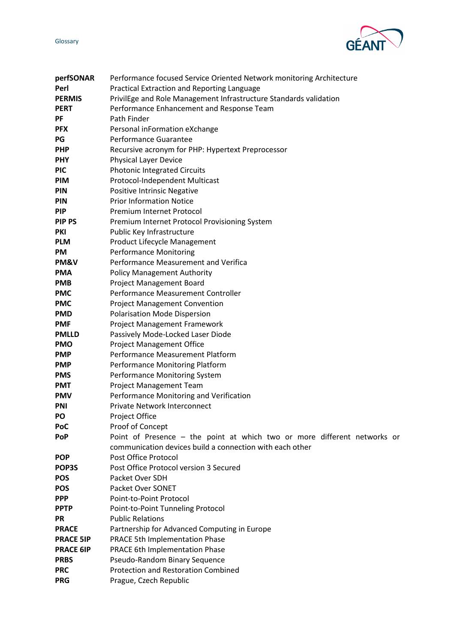GÉAN

| perfSONAR        | Performance focused Service Oriented Network monitoring Architecture     |
|------------------|--------------------------------------------------------------------------|
| Perl             | Practical Extraction and Reporting Language                              |
| <b>PERMIS</b>    | PrivilEge and Role Management Infrastructure Standards validation        |
| <b>PERT</b>      | Performance Enhancement and Response Team                                |
| PF               | Path Finder                                                              |
| <b>PFX</b>       | Personal inFormation eXchange                                            |
| PG               | Performance Guarantee                                                    |
| <b>PHP</b>       | Recursive acronym for PHP: Hypertext Preprocessor                        |
| <b>PHY</b>       | Physical Layer Device                                                    |
| <b>PIC</b>       | <b>Photonic Integrated Circuits</b>                                      |
| <b>PIM</b>       | Protocol-Independent Multicast                                           |
| PIN              | <b>Positive Intrinsic Negative</b>                                       |
| PIN              | <b>Prior Information Notice</b>                                          |
| <b>PIP</b>       | Premium Internet Protocol                                                |
| <b>PIP PS</b>    | Premium Internet Protocol Provisioning System                            |
| <b>PKI</b>       | Public Key Infrastructure                                                |
| <b>PLM</b>       | Product Lifecycle Management                                             |
| PM               | <b>Performance Monitoring</b>                                            |
| PM&V             | Performance Measurement and Verifica                                     |
| <b>PMA</b>       | <b>Policy Management Authority</b>                                       |
| <b>PMB</b>       | <b>Project Management Board</b>                                          |
| <b>PMC</b>       | Performance Measurement Controller                                       |
| <b>PMC</b>       | <b>Project Management Convention</b>                                     |
| <b>PMD</b>       | Polarisation Mode Dispersion                                             |
| <b>PMF</b>       | Project Management Framework                                             |
| <b>PMLLD</b>     | Passively Mode-Locked Laser Diode                                        |
| <b>PMO</b>       | <b>Project Management Office</b>                                         |
| <b>PMP</b>       | Performance Measurement Platform                                         |
| <b>PMP</b>       | Performance Monitoring Platform                                          |
| <b>PMS</b>       | Performance Monitoring System                                            |
| <b>PMT</b>       | Project Management Team                                                  |
| <b>PMV</b>       | Performance Monitoring and Verification                                  |
| PNI              | Private Network Interconnect                                             |
| PO               | Project Office                                                           |
| PoC              | Proof of Concept                                                         |
| <b>PoP</b>       | Point of Presence - the point at which two or more different networks or |
|                  | communication devices build a connection with each other                 |
| <b>POP</b>       | Post Office Protocol                                                     |
| POP3S            | Post Office Protocol version 3 Secured                                   |
| <b>POS</b>       | Packet Over SDH                                                          |
| <b>POS</b>       | Packet Over SONET                                                        |
| <b>PPP</b>       | Point-to-Point Protocol                                                  |
| <b>PPTP</b>      | Point-to-Point Tunneling Protocol                                        |
| PR               | <b>Public Relations</b>                                                  |
| <b>PRACE</b>     | Partnership for Advanced Computing in Europe                             |
| <b>PRACE 5IP</b> | <b>PRACE 5th Implementation Phase</b>                                    |
| <b>PRACE 6IP</b> | PRACE 6th Implementation Phase                                           |
| <b>PRBS</b>      | Pseudo-Random Binary Sequence                                            |
| <b>PRC</b>       | <b>Protection and Restoration Combined</b>                               |
| <b>PRG</b>       | Prague, Czech Republic                                                   |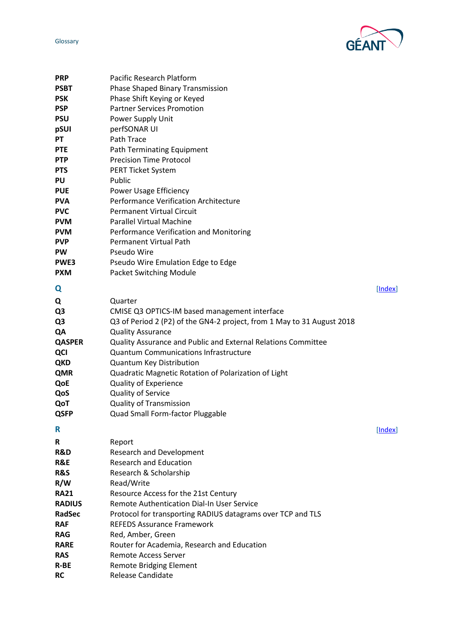

<span id="page-20-1"></span><span id="page-20-0"></span>

| <b>PRP</b>     | Pacific Research Platform                                              |         |
|----------------|------------------------------------------------------------------------|---------|
| <b>PSBT</b>    | <b>Phase Shaped Binary Transmission</b>                                |         |
| <b>PSK</b>     | Phase Shift Keying or Keyed                                            |         |
| <b>PSP</b>     | <b>Partner Services Promotion</b>                                      |         |
| <b>PSU</b>     | Power Supply Unit                                                      |         |
| pSUI           | perfSONAR UI                                                           |         |
| PT             | Path Trace                                                             |         |
| <b>PTE</b>     | Path Terminating Equipment                                             |         |
| <b>PTP</b>     | <b>Precision Time Protocol</b>                                         |         |
| <b>PTS</b>     | <b>PERT Ticket System</b>                                              |         |
| PU             | Public                                                                 |         |
| <b>PUE</b>     | Power Usage Efficiency                                                 |         |
| <b>PVA</b>     | Performance Verification Architecture                                  |         |
| <b>PVC</b>     | <b>Permanent Virtual Circuit</b>                                       |         |
| <b>PVM</b>     | <b>Parallel Virtual Machine</b>                                        |         |
| <b>PVM</b>     | Performance Verification and Monitoring                                |         |
| <b>PVP</b>     | <b>Permanent Virtual Path</b>                                          |         |
| <b>PW</b>      | Pseudo Wire                                                            |         |
| PWE3           | Pseudo Wire Emulation Edge to Edge                                     |         |
| <b>PXM</b>     | <b>Packet Switching Module</b>                                         |         |
|                |                                                                        |         |
| Q              |                                                                        | [Index] |
| Q              | Quarter                                                                |         |
| Q3             | CMISE Q3 OPTICS-IM based management interface                          |         |
| Q3             | Q3 of Period 2 (P2) of the GN4-2 project, from 1 May to 31 August 2018 |         |
| QA             | <b>Quality Assurance</b>                                               |         |
| <b>QASPER</b>  | Quality Assurance and Public and External Relations Committee          |         |
| QCI            | <b>Quantum Communications Infrastructure</b>                           |         |
| <b>QKD</b>     | Quantum Key Distribution                                               |         |
| <b>QMR</b>     | Quadratic Magnetic Rotation of Polarization of Light                   |         |
| QoE            | <b>Quality of Experience</b>                                           |         |
| QoS            | Quality of Service                                                     |         |
| QoT            | <b>Quality of Transmission</b>                                         |         |
| <b>QSFP</b>    | Quad Small Form-factor Pluggable                                       |         |
| R              |                                                                        | [Index] |
|                |                                                                        |         |
| R              | Report                                                                 |         |
| R&D            | <b>Research and Development</b>                                        |         |
| R&E            | <b>Research and Education</b>                                          |         |
| <b>R&amp;S</b> | Research & Scholarship                                                 |         |
| R/W            | Read/Write                                                             |         |
| <b>RA21</b>    | Resource Access for the 21st Century                                   |         |
| <b>RADIUS</b>  | Remote Authentication Dial-In User Service                             |         |
| <b>RadSec</b>  | Protocol for transporting RADIUS datagrams over TCP and TLS            |         |
| <b>RAF</b>     | <b>REFEDS Assurance Framework</b>                                      |         |
| <b>RAG</b>     | Red, Amber, Green                                                      |         |
| <b>RARE</b>    | Router for Academia, Research and Education                            |         |
| <b>RAS</b>     | <b>Remote Access Server</b>                                            |         |
| R-BE           | <b>Remote Bridging Element</b>                                         |         |
| <b>RC</b>      | Release Candidate                                                      |         |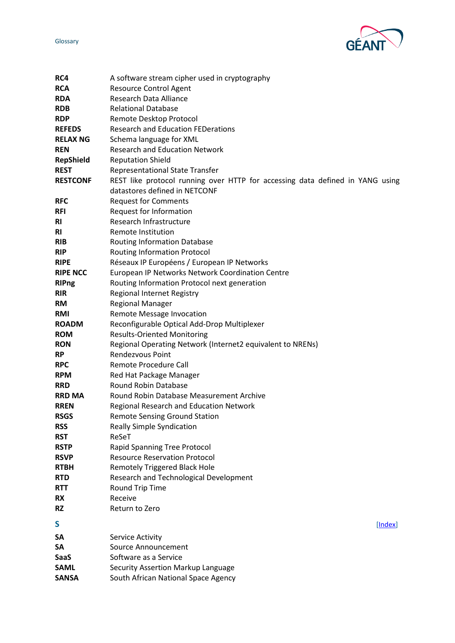

<span id="page-21-0"></span>

| RC4                      | A software stream cipher used in cryptography                                 |
|--------------------------|-------------------------------------------------------------------------------|
| <b>RCA</b>               | <b>Resource Control Agent</b>                                                 |
| <b>RDA</b>               | <b>Research Data Alliance</b>                                                 |
| <b>RDB</b>               | <b>Relational Database</b>                                                    |
| <b>RDP</b>               | Remote Desktop Protocol                                                       |
| <b>REFEDS</b>            | <b>Research and Education FEDerations</b>                                     |
| <b>RELAX NG</b>          | Schema language for XML                                                       |
| <b>REN</b>               | <b>Research and Education Network</b>                                         |
| <b>RepShield</b>         | <b>Reputation Shield</b>                                                      |
| <b>REST</b>              | <b>Representational State Transfer</b>                                        |
| <b>RESTCONF</b>          | REST like protocol running over HTTP for accessing data defined in YANG using |
|                          | datastores defined in NETCONF                                                 |
| <b>RFC</b>               | <b>Request for Comments</b>                                                   |
| <b>RFI</b>               | Request for Information                                                       |
| <b>RI</b>                | Research Infrastructure                                                       |
| RI                       | <b>Remote Institution</b>                                                     |
| <b>RIB</b>               | <b>Routing Information Database</b>                                           |
| <b>RIP</b>               | <b>Routing Information Protocol</b>                                           |
| <b>RIPE</b>              | Réseaux IP Européens / European IP Networks                                   |
| <b>RIPE NCC</b>          | European IP Networks Network Coordination Centre                              |
| <b>RIPng</b>             | Routing Information Protocol next generation                                  |
| <b>RIR</b>               | Regional Internet Registry                                                    |
| <b>RM</b>                | <b>Regional Manager</b>                                                       |
| <b>RMI</b>               | <b>Remote Message Invocation</b>                                              |
| <b>ROADM</b>             | Reconfigurable Optical Add-Drop Multiplexer                                   |
| <b>ROM</b>               | <b>Results-Oriented Monitoring</b>                                            |
| <b>RON</b>               | Regional Operating Network (Internet2 equivalent to NRENs)                    |
| <b>RP</b>                | <b>Rendezvous Point</b>                                                       |
| <b>RPC</b>               | Remote Procedure Call                                                         |
| <b>RPM</b>               | Red Hat Package Manager                                                       |
| <b>RRD</b>               | <b>Round Robin Database</b>                                                   |
| <b>RRD MA</b>            | <b>Round Robin Database Measurement Archive</b>                               |
| <b>RREN</b>              | <b>Regional Research and Education Network</b>                                |
| <b>RSGS</b>              | <b>Remote Sensing Ground Station</b>                                          |
| <b>RSS</b>               | <b>Really Simple Syndication</b>                                              |
| <b>RST</b>               | ReSeT                                                                         |
| <b>RSTP</b>              | <b>Rapid Spanning Tree Protocol</b>                                           |
| <b>RSVP</b>              | <b>Resource Reservation Protocol</b>                                          |
| <b>RTBH</b>              | <b>Remotely Triggered Black Hole</b>                                          |
| <b>RTD</b><br><b>RTT</b> | Research and Technological Development                                        |
| RX                       | Round Trip Time<br>Receive                                                    |
| <b>RZ</b>                | Return to Zero                                                                |
|                          |                                                                               |
| S                        | [Index]                                                                       |
| SA                       | Service Activity                                                              |
| SΑ                       | Source Announcement                                                           |
| SaaS                     | Software as a Service                                                         |
| <b>SAML</b>              | Security Assertion Markup Language                                            |
| <b>SANSA</b>             | South African National Space Agency                                           |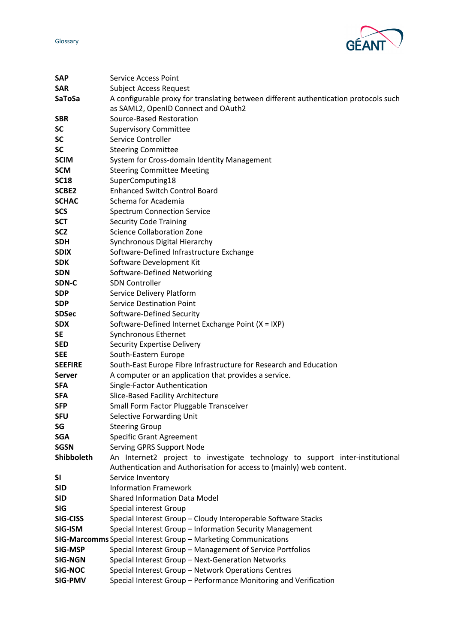

| <b>SAP</b>      | <b>Service Access Point</b>                                                          |
|-----------------|--------------------------------------------------------------------------------------|
| <b>SAR</b>      | <b>Subject Access Request</b>                                                        |
| SaToSa          | A configurable proxy for translating between different authentication protocols such |
|                 | as SAML2, OpenID Connect and OAuth2                                                  |
| <b>SBR</b>      | Source-Based Restoration                                                             |
| SC              | <b>Supervisory Committee</b>                                                         |
| <b>SC</b>       | Service Controller                                                                   |
| <b>SC</b>       | <b>Steering Committee</b>                                                            |
| <b>SCIM</b>     | System for Cross-domain Identity Management                                          |
| <b>SCM</b>      | <b>Steering Committee Meeting</b>                                                    |
| <b>SC18</b>     | SuperComputing18                                                                     |
| SCBE2           | <b>Enhanced Switch Control Board</b>                                                 |
| <b>SCHAC</b>    | Schema for Academia                                                                  |
| <b>SCS</b>      | <b>Spectrum Connection Service</b>                                                   |
| <b>SCT</b>      | <b>Security Code Training</b>                                                        |
| <b>SCZ</b>      | <b>Science Collaboration Zone</b>                                                    |
| <b>SDH</b>      | Synchronous Digital Hierarchy                                                        |
| <b>SDIX</b>     | Software-Defined Infrastructure Exchange                                             |
| <b>SDK</b>      | Software Development Kit                                                             |
| <b>SDN</b>      | Software-Defined Networking                                                          |
| SDN-C           | <b>SDN Controller</b>                                                                |
| <b>SDP</b>      | Service Delivery Platform                                                            |
| <b>SDP</b>      | <b>Service Destination Point</b>                                                     |
| <b>SDSec</b>    | Software-Defined Security                                                            |
| <b>SDX</b>      | Software-Defined Internet Exchange Point (X = IXP)                                   |
| <b>SE</b>       | Synchronous Ethernet                                                                 |
| <b>SED</b>      | <b>Security Expertise Delivery</b>                                                   |
| <b>SEE</b>      | South-Eastern Europe                                                                 |
| <b>SEEFIRE</b>  | South-East Europe Fibre Infrastructure for Research and Education                    |
| <b>Server</b>   | A computer or an application that provides a service.                                |
| <b>SFA</b>      | Single-Factor Authentication                                                         |
| <b>SFA</b>      | Slice-Based Facility Architecture                                                    |
| <b>SFP</b>      | Small Form Factor Pluggable Transceiver                                              |
| <b>SFU</b>      | Selective Forwarding Unit                                                            |
| SG              | <b>Steering Group</b>                                                                |
| <b>SGA</b>      | <b>Specific Grant Agreement</b>                                                      |
| <b>SGSN</b>     | Serving GPRS Support Node                                                            |
| Shibboleth      | An Internet2 project to investigate technology to support inter-institutional        |
|                 | Authentication and Authorisation for access to (mainly) web content.                 |
| SΙ              | Service Inventory                                                                    |
| <b>SID</b>      | <b>Information Framework</b>                                                         |
| <b>SID</b>      | <b>Shared Information Data Model</b>                                                 |
| <b>SIG</b>      | Special interest Group                                                               |
| <b>SIG-CISS</b> | Special Interest Group - Cloudy Interoperable Software Stacks                        |
| SIG-ISM         | Special Interest Group - Information Security Management                             |
|                 | SIG-Marcomms Special Interest Group - Marketing Communications                       |
| <b>SIG-MSP</b>  | Special Interest Group - Management of Service Portfolios                            |
| <b>SIG-NGN</b>  | Special Interest Group - Next-Generation Networks                                    |
| <b>SIG-NOC</b>  | Special Interest Group - Network Operations Centres                                  |
| <b>SIG-PMV</b>  | Special Interest Group - Performance Monitoring and Verification                     |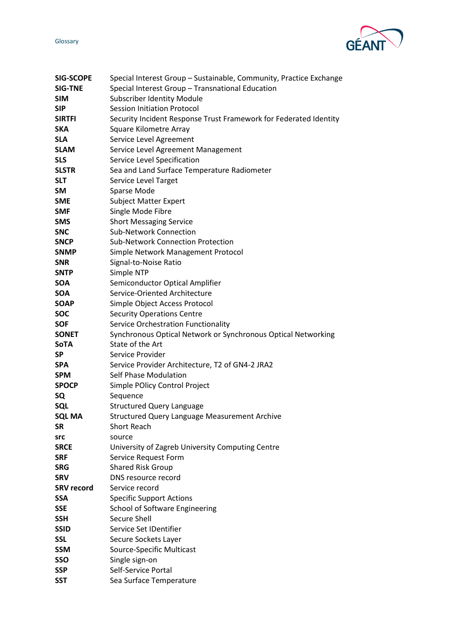**GÉA** 

| <b>SIG-SCOPE</b>  | Special Interest Group - Sustainable, Community, Practice Exchange |
|-------------------|--------------------------------------------------------------------|
| <b>SIG-TNE</b>    | Special Interest Group - Transnational Education                   |
| <b>SIM</b>        | <b>Subscriber Identity Module</b>                                  |
| <b>SIP</b>        | <b>Session Initiation Protocol</b>                                 |
| <b>SIRTFI</b>     | Security Incident Response Trust Framework for Federated Identity  |
| <b>SKA</b>        | <b>Square Kilometre Array</b>                                      |
| <b>SLA</b>        | Service Level Agreement                                            |
| <b>SLAM</b>       | Service Level Agreement Management                                 |
| <b>SLS</b>        | Service Level Specification                                        |
| <b>SLSTR</b>      | Sea and Land Surface Temperature Radiometer                        |
| <b>SLT</b>        | Service Level Target                                               |
| <b>SM</b>         | Sparse Mode                                                        |
| <b>SME</b>        | <b>Subject Matter Expert</b>                                       |
| <b>SMF</b>        | Single Mode Fibre                                                  |
| <b>SMS</b>        | <b>Short Messaging Service</b>                                     |
| <b>SNC</b>        | <b>Sub-Network Connection</b>                                      |
| <b>SNCP</b>       | <b>Sub-Network Connection Protection</b>                           |
| <b>SNMP</b>       | Simple Network Management Protocol                                 |
| <b>SNR</b>        | Signal-to-Noise Ratio                                              |
| <b>SNTP</b>       | Simple NTP                                                         |
| <b>SOA</b>        | Semiconductor Optical Amplifier                                    |
| <b>SOA</b>        | Service-Oriented Architecture                                      |
| <b>SOAP</b>       | Simple Object Access Protocol                                      |
| <b>SOC</b>        | <b>Security Operations Centre</b>                                  |
| <b>SOF</b>        | Service Orchestration Functionality                                |
| <b>SONET</b>      | Synchronous Optical Network or Synchronous Optical Networking      |
| <b>SoTA</b>       | State of the Art                                                   |
| <b>SP</b>         | Service Provider                                                   |
| <b>SPA</b>        | Service Provider Architecture, T2 of GN4-2 JRA2                    |
| <b>SPM</b>        | Self Phase Modulation                                              |
| <b>SPOCP</b>      | Simple POlicy Control Project                                      |
| SQ                | Sequence                                                           |
| <b>SQL</b>        | <b>Structured Query Language</b>                                   |
| <b>SQL MA</b>     | <b>Structured Query Language Measurement Archive</b>               |
| <b>SR</b>         | <b>Short Reach</b>                                                 |
| src               | source                                                             |
| <b>SRCE</b>       | University of Zagreb University Computing Centre                   |
| <b>SRF</b>        | Service Request Form                                               |
| <b>SRG</b>        | <b>Shared Risk Group</b>                                           |
| <b>SRV</b>        | DNS resource record                                                |
| <b>SRV record</b> | Service record                                                     |
| <b>SSA</b>        | <b>Specific Support Actions</b>                                    |
| <b>SSE</b>        | <b>School of Software Engineering</b>                              |
| <b>SSH</b>        | Secure Shell                                                       |
| <b>SSID</b>       | Service Set IDentifier                                             |
| <b>SSL</b>        | Secure Sockets Layer                                               |
| <b>SSM</b>        | Source-Specific Multicast                                          |
| SSO               | Single sign-on                                                     |
| <b>SSP</b>        | Self-Service Portal                                                |
| <b>SST</b>        | Sea Surface Temperature                                            |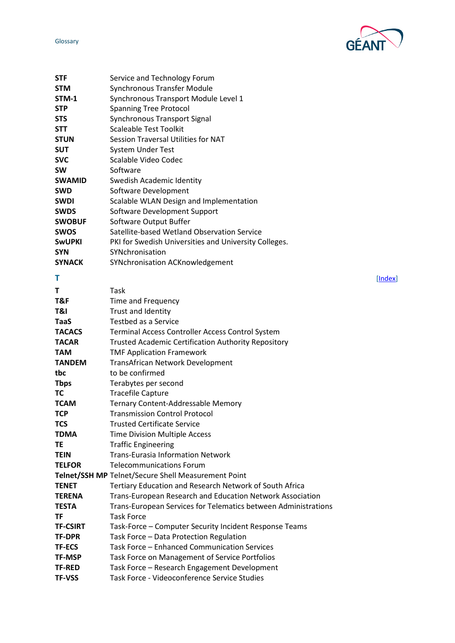

<span id="page-24-0"></span>

| STF             | Service and Technology Forum                                   |
|-----------------|----------------------------------------------------------------|
| <b>STM</b>      | <b>Synchronous Transfer Module</b>                             |
| STM-1           | Synchronous Transport Module Level 1                           |
| <b>STP</b>      | <b>Spanning Tree Protocol</b>                                  |
| <b>STS</b>      | Synchronous Transport Signal                                   |
| <b>STT</b>      | <b>Scaleable Test Toolkit</b>                                  |
| <b>STUN</b>     | Session Traversal Utilities for NAT                            |
| <b>SUT</b>      | <b>System Under Test</b>                                       |
| <b>SVC</b>      | Scalable Video Codec                                           |
| <b>SW</b>       | Software                                                       |
| <b>SWAMID</b>   | Swedish Academic Identity                                      |
| <b>SWD</b>      | Software Development                                           |
| <b>SWDI</b>     | Scalable WLAN Design and Implementation                        |
| <b>SWDS</b>     | Software Development Support                                   |
| <b>SWOBUF</b>   | Software Output Buffer                                         |
| <b>SWOS</b>     | Satellite-based Wetland Observation Service                    |
| <b>SWUPKI</b>   | PKI for Swedish Universities and University Colleges.          |
| <b>SYN</b>      | SYNchronisation                                                |
| <b>SYNACK</b>   | <b>SYNchronisation ACKnowledgement</b>                         |
| Τ               | [Index]                                                        |
| Τ               | Task                                                           |
| T&F             | Time and Frequency                                             |
| T&I             | Trust and Identity                                             |
| TaaS            | Testbed as a Service                                           |
| <b>TACACS</b>   | Terminal Access Controller Access Control System               |
| <b>TACAR</b>    | <b>Trusted Academic Certification Authority Repository</b>     |
| <b>TAM</b>      | <b>TMF Application Framework</b>                               |
| <b>TANDEM</b>   | <b>TransAfrican Network Development</b>                        |
| tbc             | to be confirmed                                                |
| <b>Thps</b>     | Terabytes per second                                           |
| ТC              | <b>Tracefile Capture</b>                                       |
| <b>TCAM</b>     | Ternary Content-Addressable Memory                             |
| <b>TCP</b>      | <b>Transmission Control Protocol</b>                           |
| TCS             | <b>Trusted Certificate Service</b>                             |
| <b>TDMA</b>     | <b>Time Division Multiple Access</b>                           |
| TE              | <b>Traffic Engineering</b>                                     |
| <b>TEIN</b>     | <b>Trans-Eurasia Information Network</b>                       |
| <b>TELFOR</b>   | <b>Telecommunications Forum</b>                                |
|                 | Telnet/SSH MP Telnet/Secure Shell Measurement Point            |
| <b>TENET</b>    | Tertiary Education and Research Network of South Africa        |
| <b>TERENA</b>   | Trans-European Research and Education Network Association      |
| <b>TESTA</b>    | Trans-European Services for Telematics between Administrations |
| ΤF              | <b>Task Force</b>                                              |
| <b>TF-CSIRT</b> | Task-Force - Computer Security Incident Response Teams         |
| <b>TF-DPR</b>   | Task Force - Data Protection Regulation                        |
| <b>TF-ECS</b>   | Task Force - Enhanced Communication Services                   |
| <b>TF-MSP</b>   | Task Force on Management of Service Portfolios                 |
| <b>TF-RED</b>   | Task Force - Research Engagement Development                   |
| <b>TF-VSS</b>   | Task Force - Videoconference Service Studies                   |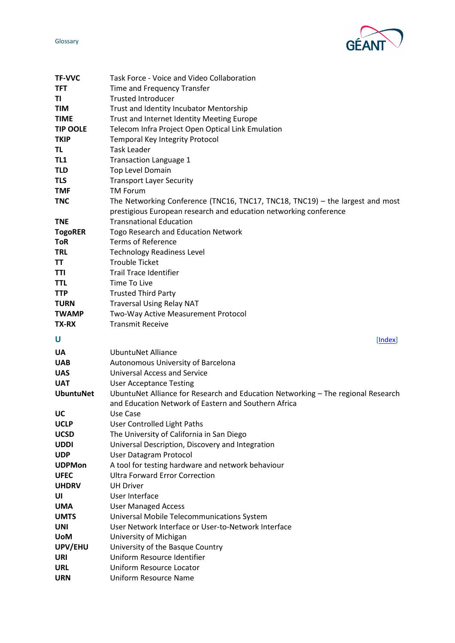

<span id="page-25-0"></span>

| <b>TF-VVC</b>               | Task Force - Voice and Video Collaboration                                                        |
|-----------------------------|---------------------------------------------------------------------------------------------------|
| <b>TFT</b>                  | Time and Frequency Transfer                                                                       |
| TI                          | <b>Trusted Introducer</b>                                                                         |
| <b>TIM</b>                  | Trust and Identity Incubator Mentorship                                                           |
| <b>TIME</b>                 | Trust and Internet Identity Meeting Europe                                                        |
| <b>TIP OOLE</b>             | Telecom Infra Project Open Optical Link Emulation                                                 |
| <b>TKIP</b>                 | <b>Temporal Key Integrity Protocol</b>                                                            |
| TL                          | <b>Task Leader</b>                                                                                |
| TL1                         | <b>Transaction Language 1</b>                                                                     |
| <b>TLD</b>                  | Top Level Domain                                                                                  |
| <b>TLS</b>                  | <b>Transport Layer Security</b>                                                                   |
| <b>TMF</b>                  | <b>TM Forum</b>                                                                                   |
| <b>TNC</b>                  | The Networking Conference (TNC16, TNC17, TNC18, TNC19) - the largest and most                     |
|                             | prestigious European research and education networking conference                                 |
| <b>TNE</b>                  | <b>Transnational Education</b>                                                                    |
| <b>TogoRER</b>              | Togo Research and Education Network                                                               |
| <b>ToR</b>                  | <b>Terms of Reference</b>                                                                         |
| <b>TRL</b>                  | <b>Technology Readiness Level</b>                                                                 |
| <b>TT</b>                   | <b>Trouble Ticket</b>                                                                             |
| TTI                         | <b>Trail Trace Identifier</b>                                                                     |
| <b>TTL</b>                  | Time To Live                                                                                      |
| <b>TTP</b>                  | <b>Trusted Third Party</b>                                                                        |
| <b>TURN</b><br><b>TWAMP</b> | <b>Traversal Using Relay NAT</b><br>Two-Way Active Measurement Protocol                           |
| <b>TX-RX</b>                | <b>Transmit Receive</b>                                                                           |
|                             |                                                                                                   |
|                             |                                                                                                   |
| U                           | [Index]                                                                                           |
| UA                          | <b>UbuntuNet Alliance</b>                                                                         |
| <b>UAB</b>                  | Autonomous University of Barcelona                                                                |
| <b>UAS</b>                  | <b>Universal Access and Service</b>                                                               |
| <b>UAT</b>                  | <b>User Acceptance Testing</b>                                                                    |
| <b>UbuntuNet</b>            | UbuntuNet Alliance for Research and Education Networking - The regional Research                  |
|                             | and Education Network of Eastern and Southern Africa                                              |
| UC                          | Use Case                                                                                          |
| <b>UCLP</b>                 | User Controlled Light Paths                                                                       |
| <b>UCSD</b>                 | The University of California in San Diego                                                         |
| <b>UDDI</b>                 | Universal Description, Discovery and Integration                                                  |
| <b>UDP</b>                  | <b>User Datagram Protocol</b>                                                                     |
| <b>UDPMon</b>               | A tool for testing hardware and network behaviour                                                 |
| <b>UFEC</b>                 | <b>Ultra Forward Error Correction</b>                                                             |
| <b>UHDRV</b><br>UI          | <b>UH Driver</b><br>User Interface                                                                |
| <b>UMA</b>                  |                                                                                                   |
| <b>UMTS</b>                 | <b>User Managed Access</b>                                                                        |
| UNI                         | Universal Mobile Telecommunications System<br>User Network Interface or User-to-Network Interface |
| <b>UoM</b>                  | University of Michigan                                                                            |
| UPV/EHU                     | University of the Basque Country                                                                  |
| <b>URI</b>                  | Uniform Resource Identifier                                                                       |
| <b>URL</b>                  | Uniform Resource Locator                                                                          |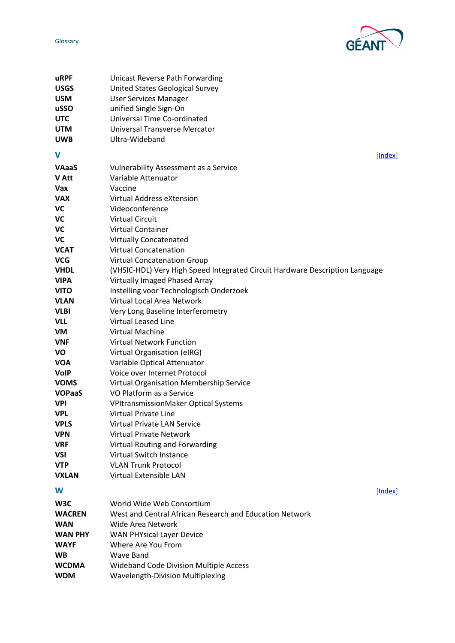

<span id="page-26-1"></span><span id="page-26-0"></span>

| uRPF           | Unicast Reverse Path Forwarding                                              |
|----------------|------------------------------------------------------------------------------|
| <b>USGS</b>    | United States Geological Survey                                              |
| <b>USM</b>     | <b>User Services Manager</b>                                                 |
| uSSO           | unified Single Sign-On                                                       |
| <b>UTC</b>     | Universal Time Co-ordinated                                                  |
| <b>UTM</b>     | Universal Transverse Mercator                                                |
| <b>UWB</b>     | Ultra-Wideband                                                               |
| V              |                                                                              |
|                | [Index]                                                                      |
| <b>VAaaS</b>   | <b>Vulnerability Assessment as a Service</b>                                 |
| <b>V</b> Att   | Variable Attenuator                                                          |
| <b>Vax</b>     | Vaccine                                                                      |
| <b>VAX</b>     | Virtual Address eXtension                                                    |
| VC             | Videoconference                                                              |
| VC             | <b>Virtual Circuit</b>                                                       |
| VC             | Virtual Container                                                            |
| VC             | <b>Virtually Concatenated</b>                                                |
| <b>VCAT</b>    | <b>Virtual Concatenation</b>                                                 |
| <b>VCG</b>     | <b>Virtual Concatenation Group</b>                                           |
| <b>VHDL</b>    | (VHSIC-HDL) Very High Speed Integrated Circuit Hardware Description Language |
| <b>VIPA</b>    | Virtually Imaged Phased Array                                                |
| <b>VITO</b>    | Instelling voor Technologisch Onderzoek                                      |
| <b>VLAN</b>    | Virtual Local Area Network                                                   |
| <b>VLBI</b>    | Very Long Baseline Interferometry                                            |
| <b>VLL</b>     | <b>Virtual Leased Line</b>                                                   |
| VM             | <b>Virtual Machine</b>                                                       |
| <b>VNF</b>     | <b>Virtual Network Function</b>                                              |
| VO             | Virtual Organisation (eIRG)                                                  |
| <b>VOA</b>     | Variable Optical Attenuator                                                  |
| <b>VolP</b>    | Voice over Internet Protocol                                                 |
| <b>VOMS</b>    | Virtual Organisation Membership Service                                      |
| <b>VOPaaS</b>  | VO Platform as a Service                                                     |
| <b>VPI</b>     | VPItransmissionMaker Optical Systems                                         |
| <b>VPL</b>     | <b>Virtual Private Line</b>                                                  |
| <b>VPLS</b>    | Virtual Private LAN Service                                                  |
| <b>VPN</b>     | <b>Virtual Private Network</b>                                               |
| <b>VRF</b>     | Virtual Routing and Forwarding                                               |
| VSI            | <b>Virtual Switch Instance</b>                                               |
| <b>VTP</b>     | <b>VLAN Trunk Protocol</b>                                                   |
| <b>VXLAN</b>   | Virtual Extensible LAN                                                       |
| W              | [Index]                                                                      |
| W3C            | World Wide Web Consortium                                                    |
| <b>WACREN</b>  | West and Central African Research and Education Network                      |
| WAN            | Wide Area Network                                                            |
| <b>WAN PHY</b> | <b>WAN PHYsical Layer Device</b>                                             |
| <b>WAYF</b>    | Where Are You From                                                           |
| <b>WB</b>      | <b>Wave Band</b>                                                             |
| <b>WCDMA</b>   | <b>Wideband Code Division Multiple Access</b>                                |
| <b>WDM</b>     | Wavelength-Division Multiplexing                                             |